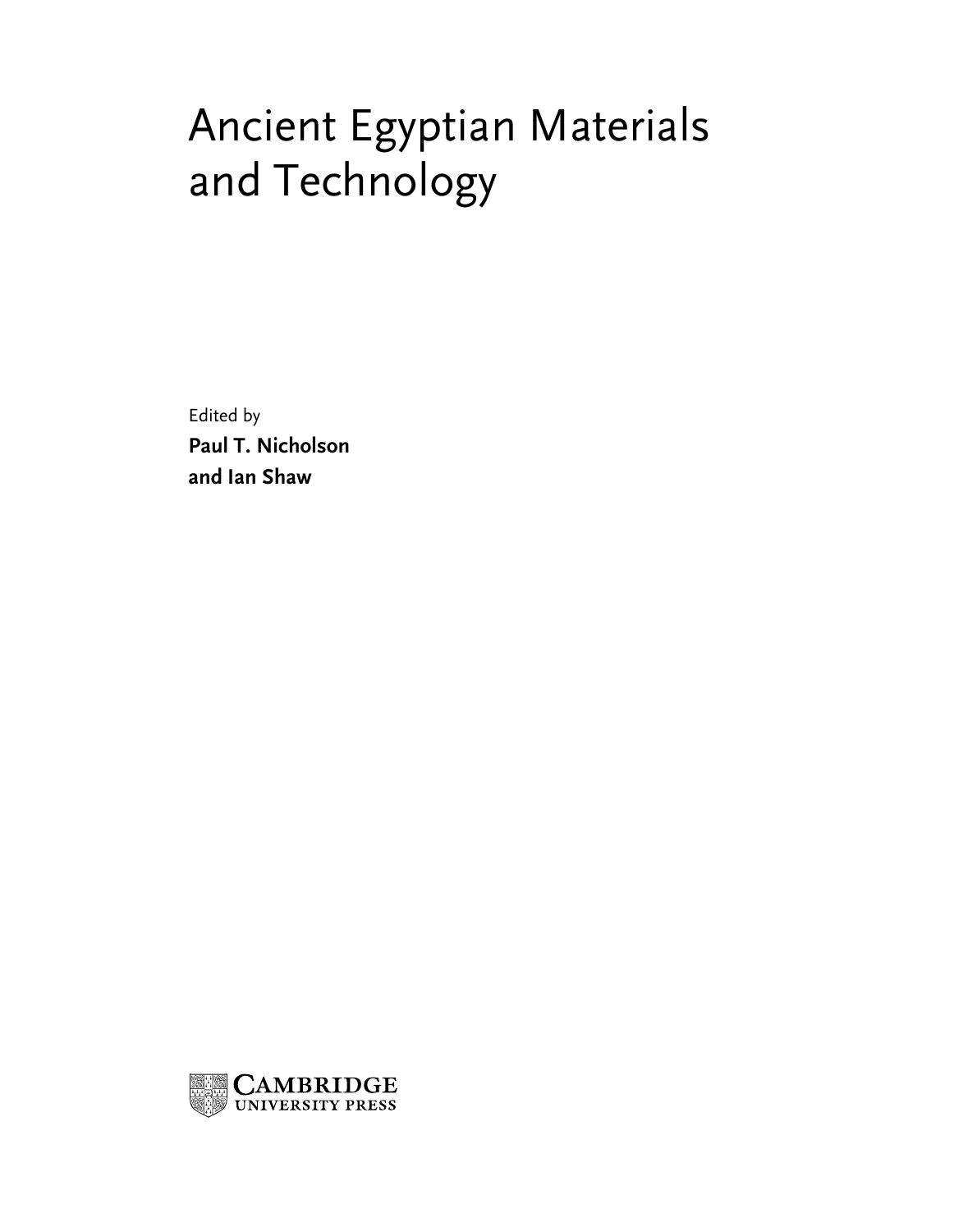# Ancient Egyptian Materials and Technology

Edited by **Paul T. Nicholson and Ian Shaw**

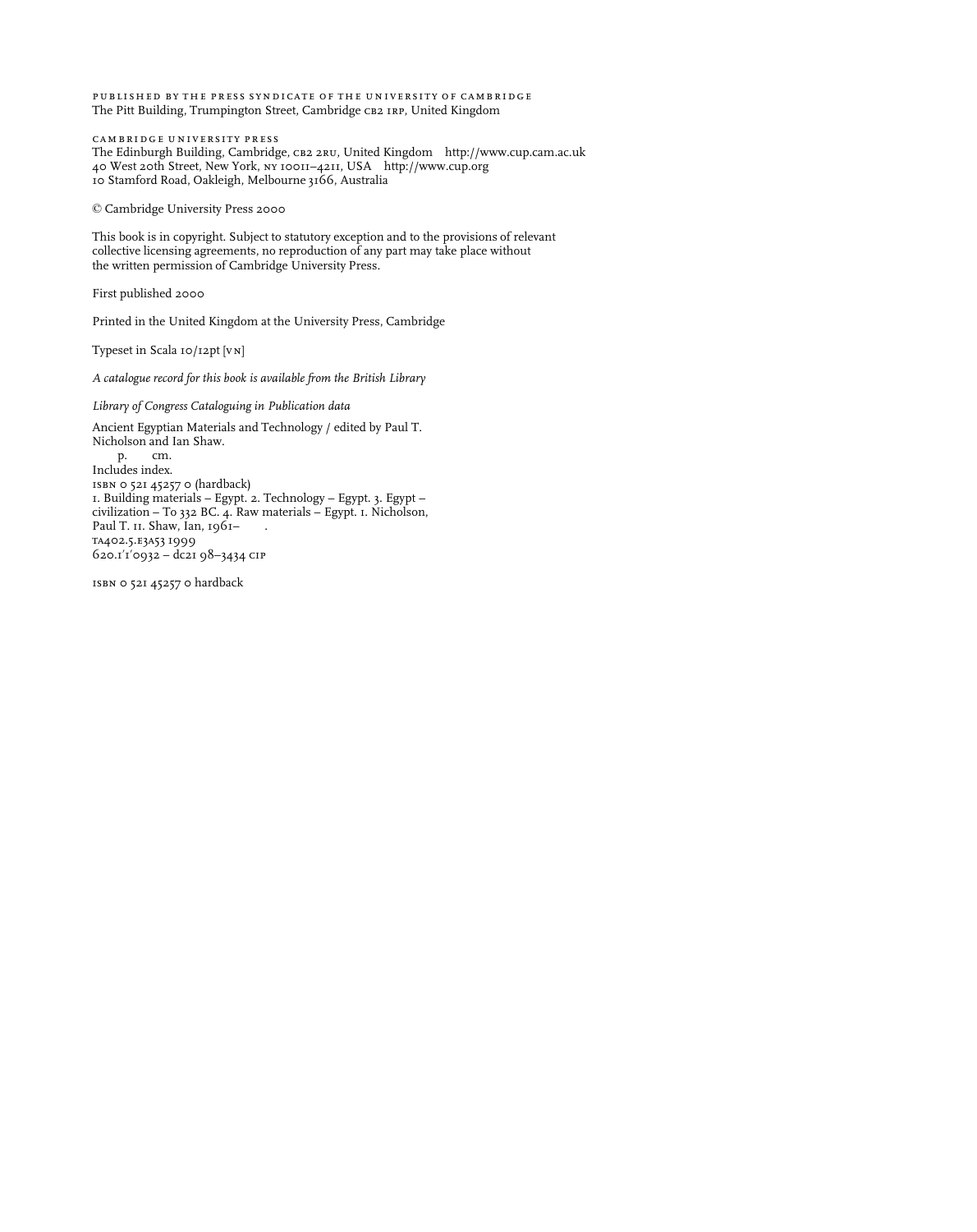published by the press syndicate of the university of cambridge The Pitt Building, Trumpington Street, Cambridge CB2 IRP, United Kingdom

cambridge university press The Edinburgh Building, Cambridge, cb2 2ru, United Kingdom http://www.cup.cam.ac.uk 40 West 20th Street, New York, ny 10011–4211, USA http://www.cup.org 10 Stamford Road, Oakleigh, Melbourne 3166, Australia

© Cambridge University Press 2000

This book is in copyright. Subject to statutory exception and to the provisions of relevant collective licensing agreements, no reproduction of any part may take place without the written permission of Cambridge University Press.

First published 2000

Printed in the United Kingdom at the University Press, Cambridge

Typeset in Scala 10/12pt [vn]

*A catalogue record for this book is available from the British Library*

*Library of Congress Cataloguing in Publication data*

Ancient Egyptian Materials and Technology / edited by Paul T. Nicholson and Ian Shaw.<br>p. cm.

p. cm. Includes index. isbn 0 521 45257 0 (hardback) 1. Building materials – Egypt. 2. Technology – Egypt. 3. Egypt – civilization – To 332BC. 4. Raw materials – Egypt. i. Nicholson, Paul T. II. Shaw, Ian, 1961ta402.5.e3a53 1999  $620.110932 - 462198 - 3434$  CIP

isbn 0 521 45257 0 hardback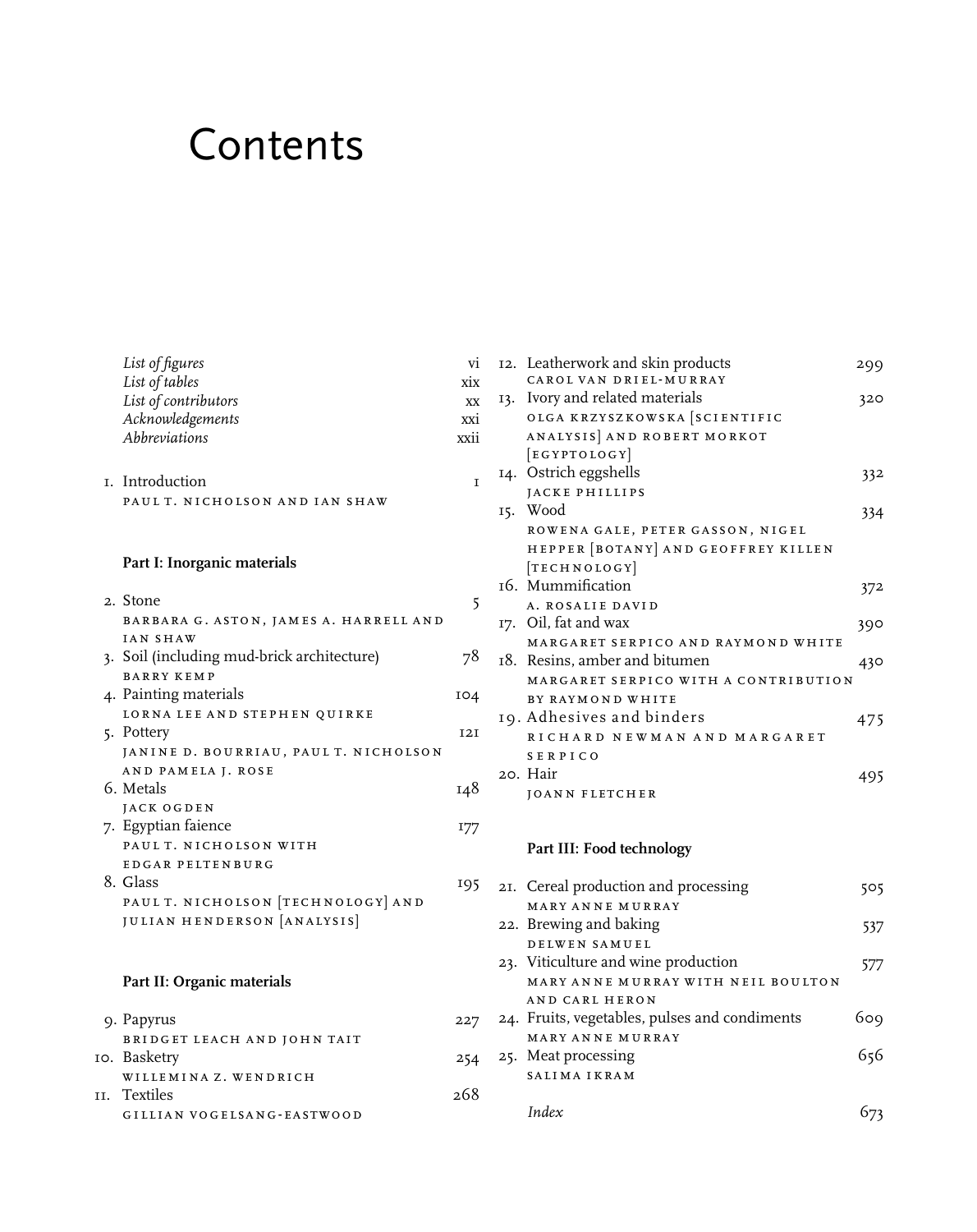### Contents

| List of figures      | V1   |
|----------------------|------|
| List of tables       | xix  |
| List of contributors | XX   |
| Acknowledgements     | xxi  |
| Abbreviations        | xxii |
|                      |      |

1. Introduction 1 paul t. nicholson and ian shaw

### **Part I: Inorganic materials**

| 2. Stone                                   | 5   |
|--------------------------------------------|-----|
| BARBARA G. ASTON, JAMES A. HARRELL AND     |     |
| <b>IAN SHAW</b>                            |     |
| 3. Soil (including mud-brick architecture) | 78  |
| <b>BARRY KEMP</b>                          |     |
| 4. Painting materials                      | 104 |
| LORNA LEE AND STEPHEN QUIRKE               |     |
| 5. Pottery                                 | T2T |
| JANINE D. BOURRIAU, PAUL T. NICHOLSON      |     |
| AND PAMELA J. ROSE                         |     |
| 6. Metals                                  | 148 |
| JACK OGDEN                                 |     |
| 7. Egyptian faience                        | I77 |
| PAUL T. NICHOLSON WITH                     |     |
| <b>EDGAR PELTENBURG</b>                    |     |
| 8. Glass                                   | 195 |
| PAUL T. NICHOLSON [TECHNOLOGY] AND         |     |
| JULIAN HENDERSON [ANALYSIS]                |     |
|                                            |     |
|                                            |     |
| Part II: Organic materials                 |     |
| 9. Papyrus                                 | 227 |
|                                            |     |

| BRIDGET LEACH AND JOHN TAIT |     |
|-----------------------------|-----|
| IO. Basketry                | 254 |
| WILLEMINAZ. WENDRICH        |     |
| II. Textiles                | 268 |
| GILLIAN VOGELSANG-EASTWOOD  |     |
|                             |     |

|  | 12. Leatherwork and skin products<br>CAROL VAN DRIEL-MURRAY | 299 |
|--|-------------------------------------------------------------|-----|
|  | 13. Ivory and related materials                             | 320 |
|  | OLGA KRZYSZKOWSKA SCIENTIFIC                                |     |
|  | ANALYSIS AND ROBERT MORKOT                                  |     |
|  | [EGYPTOLOGY]                                                |     |
|  | 14. Ostrich eggshells                                       | 332 |
|  | JACKE PHILLIPS                                              |     |
|  | 15. Wood                                                    | 334 |
|  | ROWENA GALE, PETER GASSON, NIGEL                            |     |
|  | HEPPER [BOTANY] AND GEOFFREY KILLEN                         |     |
|  | [TECHNOLOGY]                                                |     |
|  | 16. Mummification                                           | 372 |
|  | A. ROSALIE DAVID                                            |     |
|  | 17. Oil, fat and wax                                        | 390 |
|  | MARGARET SERPICO AND RAYMOND WHITE                          |     |
|  | 18. Resins, amber and bitumen                               | 430 |
|  | MARGARET SERPICO WITH A CONTRIBUTION                        |     |
|  | BY RAYMOND WHITE                                            |     |
|  | 19. Adhesives and binders                                   | 475 |
|  | RICHARD NEWMAN AND MARGARET                                 |     |
|  | SERPICO                                                     |     |
|  | 20. Hair                                                    | 495 |
|  | <b>JOANN FLETCHER</b>                                       |     |

### **Part III: Food technology**

| 21. Cereal production and processing          | 505 |
|-----------------------------------------------|-----|
| MARY ANNE MURRAY                              |     |
| 22. Brewing and baking                        | 537 |
| DELWEN SAMUEL                                 |     |
| 23. Viticulture and wine production           |     |
| MARY ANNE MURRAY WITH NEIL BOULTON            |     |
| AND CARL HERON                                |     |
| 24. Fruits, vegetables, pulses and condiments | ნიძ |
| <b>MARY ANNE MURRAY</b>                       |     |
| 25. Meat processing                           | 656 |
| <b>SALIMA IKRAM</b>                           |     |
|                                               |     |
| Index                                         |     |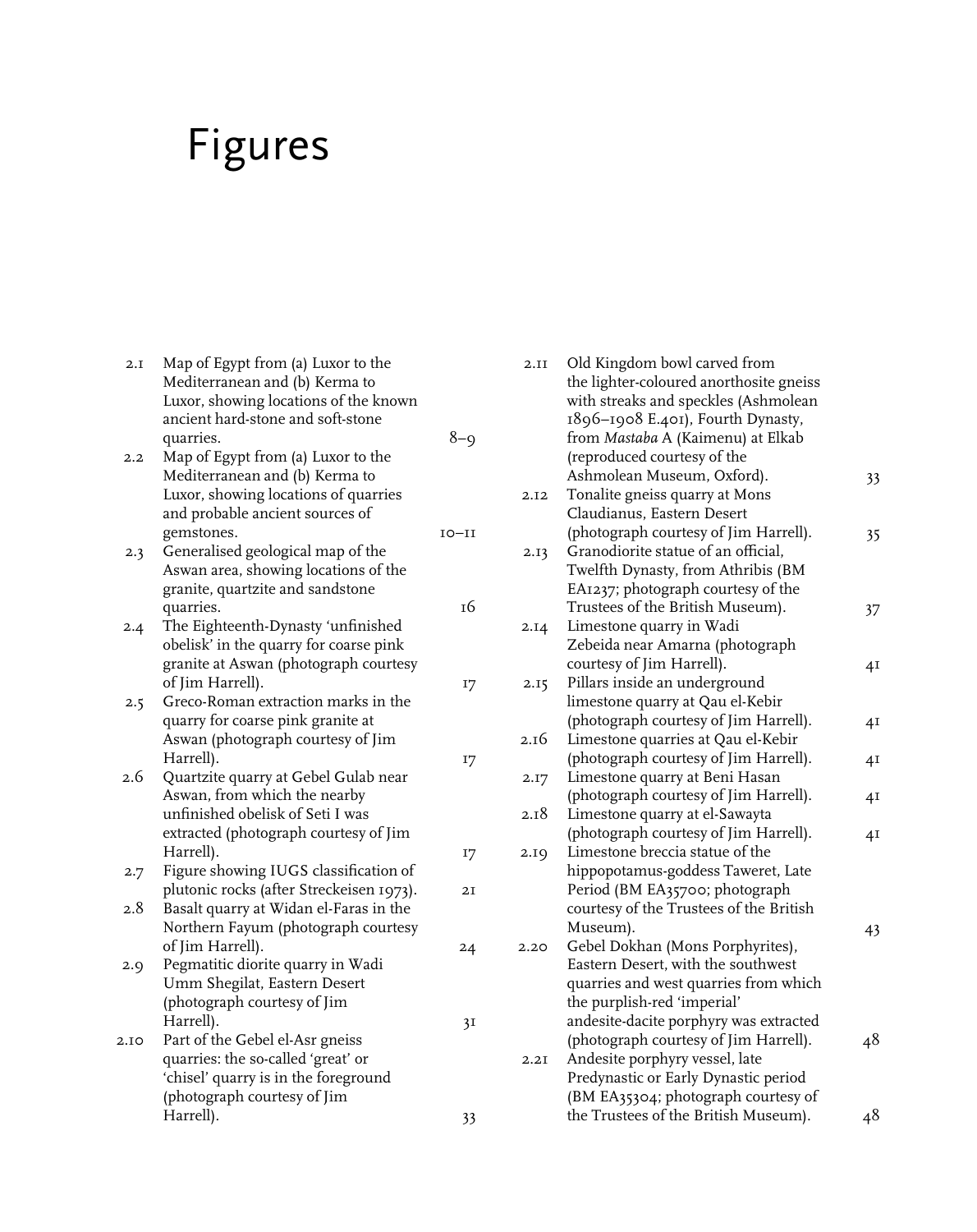# Figures

| 2.I  | Map of Egypt from (a) Luxor to the       |         |
|------|------------------------------------------|---------|
|      | Mediterranean and (b) Kerma to           |         |
|      | Luxor, showing locations of the known    |         |
|      | ancient hard-stone and soft-stone        |         |
|      | quarries.                                | $8 - 9$ |
| 2.2  | Map of Egypt from (a) Luxor to the       |         |
|      | Mediterranean and (b) Kerma to           |         |
|      | Luxor, showing locations of quarries     |         |
|      | and probable ancient sources of          |         |
|      | gemstones.                               | $IO-II$ |
| 2.3  | Generalised geological map of the        |         |
|      | Aswan area, showing locations of the     |         |
|      | granite, quartzite and sandstone         |         |
|      | quarries.                                | 16      |
| 2.4  | The Eighteenth-Dynasty 'unfinished       |         |
|      | obelisk' in the quarry for coarse pink   |         |
|      | granite at Aswan (photograph courtesy    |         |
|      | of Jim Harrell).                         | 17      |
| 2.5  | Greco-Roman extraction marks in the      |         |
|      | quarry for coarse pink granite at        |         |
|      | Aswan (photograph courtesy of Jim        |         |
|      | Harrell).                                | 17      |
| 2.6  | Quartzite quarry at Gebel Gulab near     |         |
|      | Aswan, from which the nearby             |         |
|      | unfinished obelisk of Seti I was         |         |
|      | extracted (photograph courtesy of Jim    |         |
|      | Harrell).                                | I7      |
| 2.7  | Figure showing IUGS classification of    |         |
|      | plutonic rocks (after Streckeisen 1973). | 2I      |
| 2.8  | Basalt quarry at Widan el-Faras in the   |         |
|      | Northern Fayum (photograph courtesy      |         |
|      | of Jim Harrell).                         | 24      |
| 2.9  | Pegmatitic diorite quarry in Wadi        |         |
|      | Umm Shegilat, Eastern Desert             |         |
|      | (photograph courtesy of Jim              |         |
|      | Harrell).                                | 3I      |
| 2.10 | Part of the Gebel el-Asr gneiss          |         |
|      | quarries: the so-called 'great' or       |         |
|      | 'chisel' quarry is in the foreground     |         |
|      | (photograph courtesy of Jim              |         |
|      | Harrell).                                | 33      |
|      |                                          |         |

| 2.II | Old Kingdom bowl carved from<br>the lighter-coloured anorthosite gneiss |                |
|------|-------------------------------------------------------------------------|----------------|
|      | with streaks and speckles (Ashmolean                                    |                |
|      | 1896-1908 E.401), Fourth Dynasty,                                       |                |
|      | from Mastaba A (Kaimenu) at Elkab                                       |                |
|      | (reproduced courtesy of the                                             |                |
|      | Ashmolean Museum, Oxford).                                              | 33             |
| 2.12 | Tonalite gneiss quarry at Mons                                          |                |
|      | Claudianus, Eastern Desert                                              |                |
|      | (photograph courtesy of Jim Harrell).                                   | 35             |
| 2.13 | Granodiorite statue of an official,                                     |                |
|      | Twelfth Dynasty, from Athribis (BM                                      |                |
|      | EA1237; photograph courtesy of the                                      |                |
|      | Trustees of the British Museum).                                        | 37             |
| 2.14 | Limestone quarry in Wadi                                                |                |
|      | Zebeida near Amarna (photograph                                         |                |
|      | courtesy of Jim Harrell).                                               | 4 <sub>I</sub> |
| 2.15 | Pillars inside an underground                                           |                |
|      | limestone quarry at Qau el-Kebir                                        |                |
|      | (photograph courtesy of Jim Harrell).                                   | 4Ι             |
| 2.16 | Limestone quarries at Qau el-Kebir                                      |                |
|      | (photograph courtesy of Jim Harrell).                                   | 4 <sub>I</sub> |
| 2.17 | Limestone quarry at Beni Hasan                                          |                |
|      | (photograph courtesy of Jim Harrell).                                   | 4 <sub>I</sub> |
| 2.18 | Limestone quarry at el-Sawayta                                          |                |
|      | (photograph courtesy of Jim Harrell).                                   | 4 <sub>I</sub> |
| 2.19 | Limestone breccia statue of the                                         |                |
|      | hippopotamus-goddess Taweret, Late                                      |                |
|      | Period (BM EA35700; photograph                                          |                |
|      | courtesy of the Trustees of the British                                 |                |
|      | Museum).                                                                | 43             |
| 2.20 | Gebel Dokhan (Mons Porphyrites),<br>Eastern Desert, with the southwest  |                |
|      | quarries and west quarries from which                                   |                |
|      | the purplish-red 'imperial'                                             |                |
|      | andesite-dacite porphyry was extracted                                  |                |
|      | (photograph courtesy of Jim Harrell).                                   | 48             |
| 2.2I | Andesite porphyry vessel, late                                          |                |
|      | Predynastic or Early Dynastic period                                    |                |
|      | (BM EA35304; photograph courtesy of                                     |                |
|      | the Trustees of the British Museum).                                    | 48             |
|      |                                                                         |                |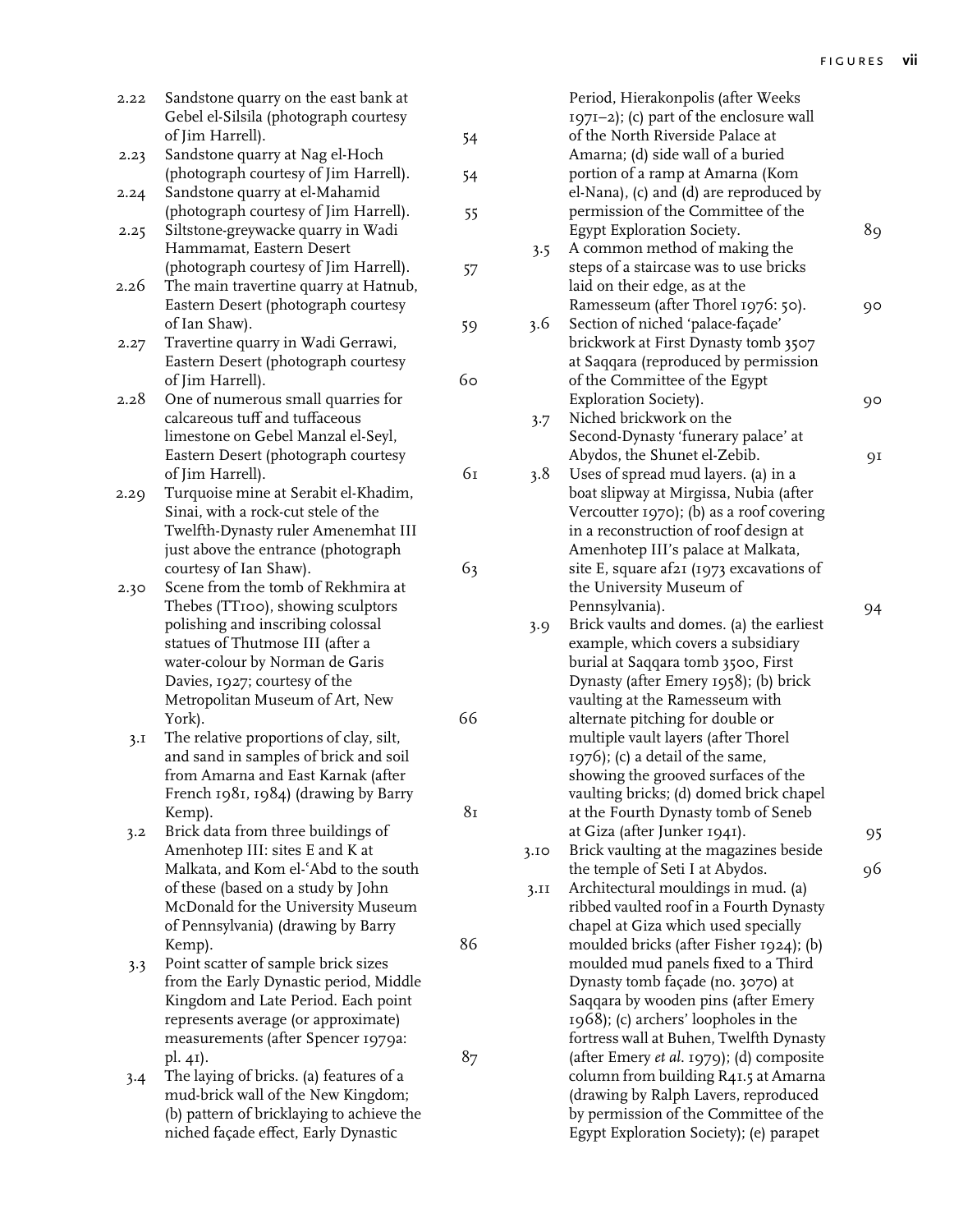| 2.22 | Sandstone quarry on the east bank at      |                |      | Period, Hierakonpolis (after Weeks       |                |
|------|-------------------------------------------|----------------|------|------------------------------------------|----------------|
|      | Gebel el-Silsila (photograph courtesy     |                |      | 1971-2); (c) part of the enclosure wall  |                |
|      | of Jim Harrell).                          | 54             |      | of the North Riverside Palace at         |                |
| 2.23 | Sandstone quarry at Nag el-Hoch           |                |      | Amarna; (d) side wall of a buried        |                |
|      | (photograph courtesy of Jim Harrell).     | 54             |      | portion of a ramp at Amarna (Kom         |                |
| 2.24 | Sandstone quarry at el-Mahamid            |                |      | el-Nana), (c) and (d) are reproduced by  |                |
|      | (photograph courtesy of Jim Harrell).     | 55             |      | permission of the Committee of the       |                |
| 2.25 | Siltstone-greywacke quarry in Wadi        |                |      | Egypt Exploration Society.               | 89             |
|      | Hammamat, Eastern Desert                  |                |      | A common method of making the            |                |
|      | (photograph courtesy of Jim Harrell).     |                | 3.5  | steps of a staircase was to use bricks   |                |
|      |                                           | 57             |      | laid on their edge, as at the            |                |
| 2.26 | The main travertine quarry at Hatnub,     |                |      |                                          |                |
|      | Eastern Desert (photograph courtesy       |                |      | Ramesseum (after Thorel 1976: 50).       | 90             |
|      | of Ian Shaw).                             | 59             | 3.6  | Section of niched 'palace-façade'        |                |
| 2.27 | Travertine quarry in Wadi Gerrawi,        |                |      | brickwork at First Dynasty tomb 3507     |                |
|      | Eastern Desert (photograph courtesy       |                |      | at Saqqara (reproduced by permission     |                |
|      | of Jim Harrell).                          | 60             |      | of the Committee of the Egypt            |                |
| 2.28 | One of numerous small quarries for        |                |      | Exploration Society).                    | $90^{\circ}$   |
|      | calcareous tuff and tuffaceous            |                | 3.7  | Niched brickwork on the                  |                |
|      | limestone on Gebel Manzal el-Seyl,        |                |      | Second-Dynasty 'funerary palace' at      |                |
|      | Eastern Desert (photograph courtesy       |                |      | Abydos, the Shunet el-Zebib.             | 9 <sub>I</sub> |
|      | of Jim Harrell).                          | 61             | 3.8  | Uses of spread mud layers. (a) in a      |                |
| 2.29 | Turquoise mine at Serabit el-Khadim,      |                |      | boat slipway at Mirgissa, Nubia (after   |                |
|      | Sinai, with a rock-cut stele of the       |                |      | Vercoutter 1970); (b) as a roof covering |                |
|      | Twelfth-Dynasty ruler Amenemhat III       |                |      | in a reconstruction of roof design at    |                |
|      | just above the entrance (photograph       |                |      | Amenhotep III's palace at Malkata,       |                |
|      | courtesy of Ian Shaw).                    | 63             |      | site E, square af21 (1973 excavations of |                |
| 2.30 | Scene from the tomb of Rekhmira at        |                |      | the University Museum of                 |                |
|      | Thebes (TT100), showing sculptors         |                |      | Pennsylvania).                           | 94             |
|      | polishing and inscribing colossal         |                | 3.9  | Brick vaults and domes. (a) the earliest |                |
|      | statues of Thutmose III (after a          |                |      | example, which covers a subsidiary       |                |
|      | water-colour by Norman de Garis           |                |      | burial at Saqqara tomb 3500, First       |                |
|      | Davies, 1927; courtesy of the             |                |      | Dynasty (after Emery 1958); (b) brick    |                |
|      |                                           |                |      |                                          |                |
|      | Metropolitan Museum of Art, New           | 66             |      | vaulting at the Ramesseum with           |                |
|      | York).                                    |                |      | alternate pitching for double or         |                |
| 3.1  | The relative proportions of clay, silt,   |                |      | multiple vault layers (after Thorel      |                |
|      | and sand in samples of brick and soil     |                |      | $1976$ ; (c) a detail of the same,       |                |
|      | from Amarna and East Karnak (after        |                |      | showing the grooved surfaces of the      |                |
|      | French 1981, 1984) (drawing by Barry      |                |      | vaulting bricks; (d) domed brick chapel  |                |
|      | Kemp).                                    | 8 <sub>I</sub> |      | at the Fourth Dynasty tomb of Seneb      |                |
| 3.2  | Brick data from three buildings of        |                |      | at Giza (after Junker 1941).             | 95             |
|      | Amenhotep III: sites E and K at           |                | 3.10 | Brick vaulting at the magazines beside   |                |
|      | Malkata, and Kom el-'Abd to the south     |                |      | the temple of Seti I at Abydos.          | 96             |
|      | of these (based on a study by John        |                | 3.11 | Architectural mouldings in mud. (a)      |                |
|      | McDonald for the University Museum        |                |      | ribbed vaulted roof in a Fourth Dynasty  |                |
|      | of Pennsylvania) (drawing by Barry        |                |      | chapel at Giza which used specially      |                |
|      | Kemp).                                    | 86             |      | moulded bricks (after Fisher 1924); (b)  |                |
| 3.3  | Point scatter of sample brick sizes       |                |      | moulded mud panels fixed to a Third      |                |
|      | from the Early Dynastic period, Middle    |                |      | Dynasty tomb façade (no. 3070) at        |                |
|      | Kingdom and Late Period. Each point       |                |      | Saqqara by wooden pins (after Emery      |                |
|      | represents average (or approximate)       |                |      | 1968); (c) archers' loopholes in the     |                |
|      | measurements (after Spencer 1979a:        |                |      | fortress wall at Buhen, Twelfth Dynasty  |                |
|      | pl. 41).                                  | 87             |      | (after Emery et al. 1979); (d) composite |                |
| 3.4  | The laying of bricks. (a) features of a   |                |      | column from building R41.5 at Amarna     |                |
|      | mud-brick wall of the New Kingdom;        |                |      | (drawing by Ralph Lavers, reproduced     |                |
|      | (b) pattern of bricklaying to achieve the |                |      | by permission of the Committee of the    |                |
|      | niched façade effect, Early Dynastic      |                |      | Egypt Exploration Society); (e) parapet  |                |
|      |                                           |                |      |                                          |                |
|      |                                           |                |      |                                          |                |
|      |                                           |                |      |                                          |                |
|      |                                           |                |      |                                          |                |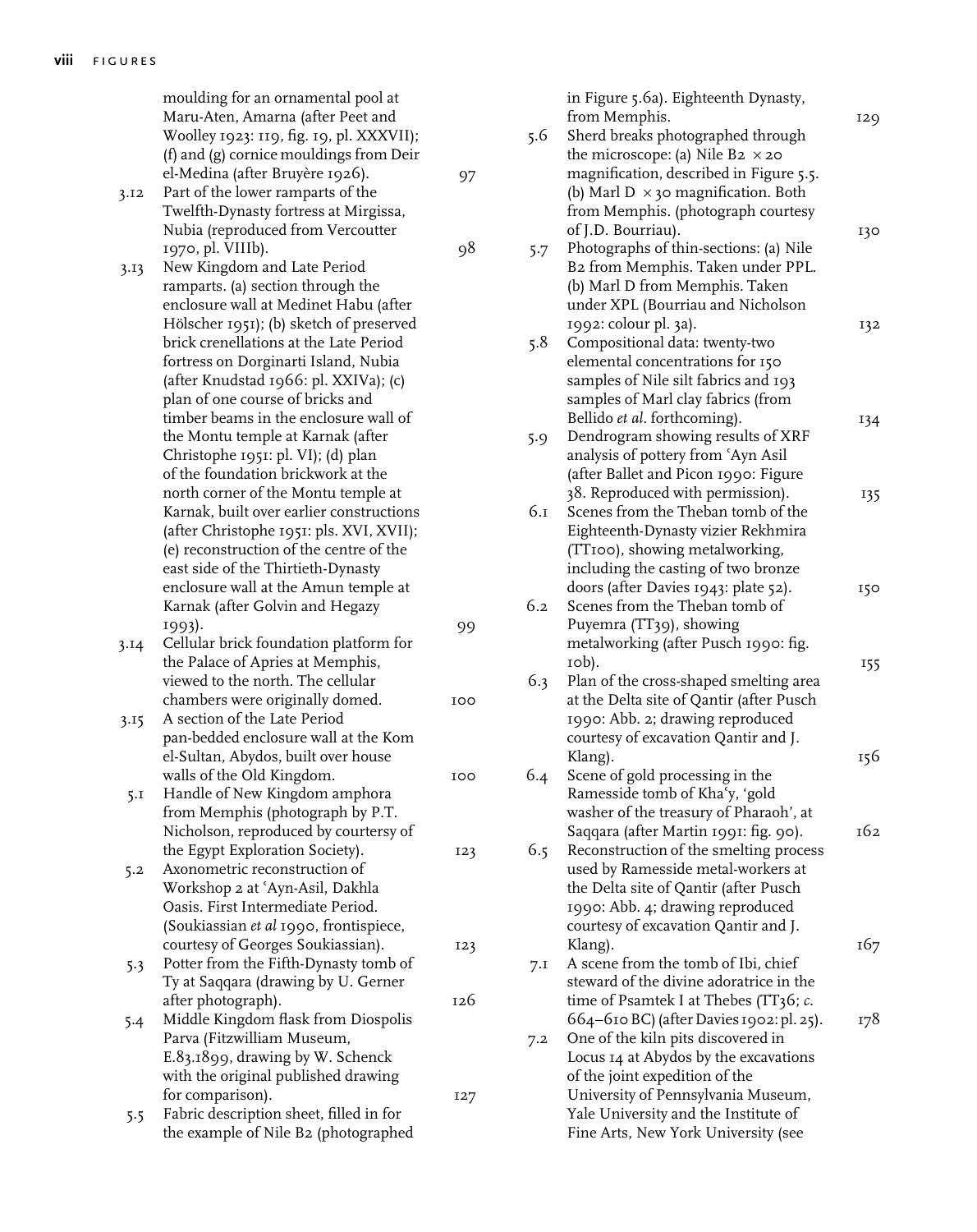moulding for an ornamental pool at Maru-Aten, Amarna (after Peet and Woolley 1923: 119, fig. 19, pl. XXXVII); (f) and (g) cornice mouldings from Deir el-Medina (after Bruyère 1926). 97 3.12 Part of the lower ramparts of the Twelfth-Dynasty fortress at Mirgissa, Nubia (reproduced from Vercoutter 1970, pl. VIIIb). 98 3.13 New Kingdom and Late Period ramparts. (a) section through the enclosure wall at Medinet Habu (after Hölscher 1951); (b) sketch of preserved brick crenellations at the Late Period fortress on Dorginarti Island, Nubia (after Knudstad 1966: pl. XXIVa); (c) plan of one course of bricks and timber beams in the enclosure wall of the Montu temple at Karnak (after Christophe 1951: pl. VI); (d) plan of the foundation brickwork at the north corner of the Montu temple at Karnak, built over earlier constructions (after Christophe 1951: pls. XVI, XVII); (e) reconstruction of the centre of the east side of the Thirtieth-Dynasty enclosure wall at the Amun temple at Karnak (after Golvin and Hegazy 1993). 99 3.14 Cellular brick foundation platform for the Palace of Apries at Memphis, viewed to the north. The cellular chambers were originally domed. 100 3.15 A section of the Late Period pan-bedded enclosure wall at the Kom el-Sultan, Abydos, built over house walls of the Old Kingdom. Too 5.1 Handle of New Kingdom amphora from Memphis (photograph by P.T. Nicholson, reproduced by courtersy of the Egypt Exploration Society). 123 5.2 Axonometric reconstruction of Workshop 2 at 'Ayn-Asil, Dakhla Oasis. First Intermediate Period. (Soukiassian *et al* 1990, frontispiece, courtesy of Georges Soukiassian). 123 5.3 Potter from the Fifth-Dynasty tomb of Ty at Saqqara (drawing by U. Gerner after photograph). 126 5.4 Middle Kingdom flask from Diospolis Parva (Fitzwilliam Museum, E.83.1899, drawing by W. Schenck with the original published drawing for comparison). 127 5.5 Fabric description sheet, filled in for the example of Nile B2(photographed in Figure 5.6a). Eighteenth Dynasty, from Memphis. 129 5.6 Sherd breaks photographed through the microscope: (a) Nile B $2 \times 20$ magnification, described in Figure 5.5. (b) Marl D  $\times$  30 magnification. Both from Memphis. (photograph courtesy of J.D. Bourriau). 130 5.7 Photographs of thin-sections: (a) Nile B2 from Memphis. Taken under PPL. (b) Marl D from Memphis. Taken under XPL (Bourriau and Nicholson 1992: colour pl. 3a). 132 5.8 Compositional data: twenty-two elemental concentrations for 150 samples of Nile silt fabrics and 193 samples of Marl clay fabrics (from Bellido *et al.* forthcoming). 134 5.9 Dendrogram showing results of XRF analysis of pottery from 'Ayn Asil (after Ballet and Picon 1990: Figure 38. Reproduced with permission). 135 6.1 Scenes from the Theban tomb of the Eighteenth-Dynasty vizier Rekhmira (TT100), showing metalworking, including the casting of two bronze doors (after Davies 1943: plate 52). 150 6.2 Scenes from the Theban tomb of Puyemra (TT39), showing metalworking (after Pusch 1990: fig. 10b). 155 6.3 Plan of the cross-shaped smelting area at the Delta site of Qantir (after Pusch 1990: Abb. 2; drawing reproduced courtesy of excavation Qantir and J. Klang). 156 6.4 Scene of gold processing in the Ramesside tomb of Kha'y, 'gold washer of the treasury of Pharaoh', at Saqqara (after Martin 1991: fig. 90). 162 6.5 Reconstruction of the smelting process used by Ramesside metal-workers at the Delta site of Qantir (after Pusch 1990: Abb. 4; drawing reproduced courtesy of excavation Qantir and J. Klang).  $167$ 7.1 A scene from the tomb of Ibi, chief steward of the divine adoratrice in the time of Psamtek I at Thebes (TT36;  $c$ . 664–610 BC) (after Davies 1902: pl. 25). 178 7.2 One of the kiln pits discovered in Locus 14 at Abydos by the excavations of the joint expedition of the University of Pennsylvania Museum, Yale University and the Institute of Fine Arts, New York University (see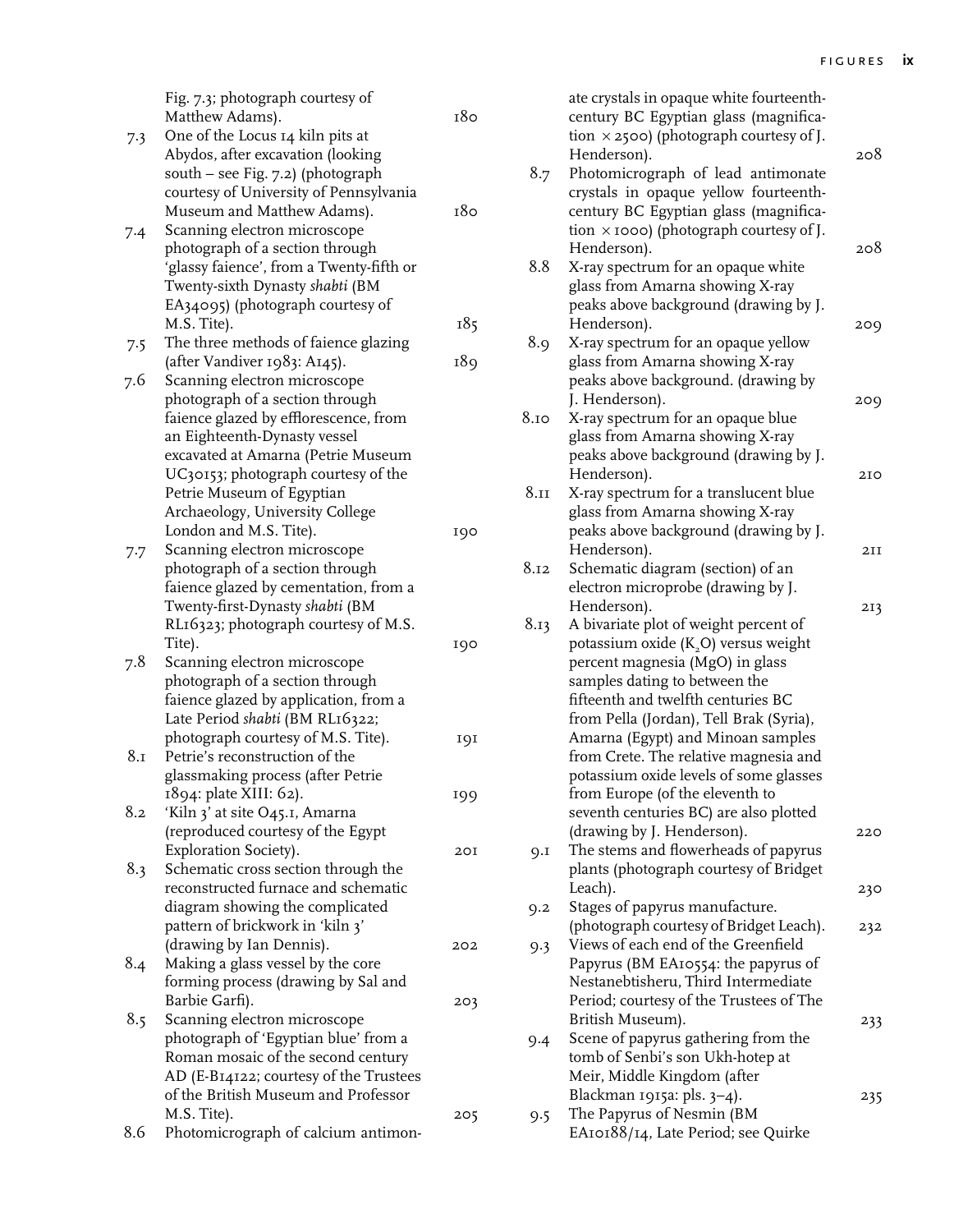|          | Fig. 7.3; photograph courtesy of         |     |      | ate crystals in opaque white fourteenth-       |     |
|----------|------------------------------------------|-----|------|------------------------------------------------|-----|
|          | Matthew Adams).                          | 180 |      | century BC Egyptian glass (magnifica-          |     |
| 7.3      | One of the Locus 14 kiln pits at         |     |      | tion $\times$ 2500) (photograph courtesy of J. |     |
|          | Abydos, after excavation (looking        |     |      | Henderson).                                    | 208 |
|          | south - see Fig. 7.2) (photograph        |     | 8.7  | Photomicrograph of lead antimonate             |     |
|          | courtesy of University of Pennsylvania   |     |      | crystals in opaque yellow fourteenth-          |     |
|          | Museum and Matthew Adams).               | 180 |      | century BC Egyptian glass (magnifica-          |     |
| 7.4      | Scanning electron microscope             |     |      | tion $\times$ 1000) (photograph courtesy of J. |     |
|          | photograph of a section through          |     |      | Henderson).                                    | 208 |
|          | 'glassy faience', from a Twenty-fifth or |     | 8.8  | X-ray spectrum for an opaque white             |     |
|          | Twenty-sixth Dynasty shabti (BM          |     |      | glass from Amarna showing X-ray                |     |
|          | EA34095) (photograph courtesy of         |     |      | peaks above background (drawing by J.          |     |
|          | M.S. Tite).                              | 185 |      | Henderson).                                    | 209 |
| 7.5      | The three methods of faience glazing     |     | 8.9  | X-ray spectrum for an opaque yellow            |     |
|          | (after Vandiver 1983: A145).             | 189 |      | glass from Amarna showing X-ray                |     |
| 7.6      | Scanning electron microscope             |     |      | peaks above background. (drawing by            |     |
|          | photograph of a section through          |     |      | J. Henderson).                                 | 209 |
|          | faience glazed by efflorescence, from    |     | 8.10 | X-ray spectrum for an opaque blue              |     |
|          | an Eighteenth-Dynasty vessel             |     |      | glass from Amarna showing X-ray                |     |
|          | excavated at Amarna (Petrie Museum       |     |      | peaks above background (drawing by J.          |     |
|          | UC30153; photograph courtesy of the      |     |      | Henderson).                                    | 210 |
|          | Petrie Museum of Egyptian                |     | 8.11 | X-ray spectrum for a translucent blue          |     |
|          | Archaeology, University College          |     |      | glass from Amarna showing X-ray                |     |
|          | London and M.S. Tite).                   | 190 |      | peaks above background (drawing by J.          |     |
|          | Scanning electron microscope             |     |      | Henderson).                                    | 2II |
| 7.7      | photograph of a section through          |     | 8.12 | Schematic diagram (section) of an              |     |
|          | faience glazed by cementation, from a    |     |      | electron microprobe (drawing by J.             |     |
|          | Twenty-first-Dynasty shabti (BM          |     |      | Henderson).                                    |     |
|          | RL16323; photograph courtesy of M.S.     |     |      | A bivariate plot of weight percent of          | 213 |
|          | Tite).                                   |     | 8.13 | potassium oxide $(K_2O)$ versus weight         |     |
| 7.8      | Scanning electron microscope             | 190 |      | percent magnesia (MgO) in glass                |     |
|          | photograph of a section through          |     |      | samples dating to between the                  |     |
|          | faience glazed by application, from a    |     |      | fifteenth and twelfth centuries BC             |     |
|          |                                          |     |      |                                                |     |
|          | Late Period shabti (BM RL16322;          |     |      | from Pella (Jordan), Tell Brak (Syria),        |     |
|          | photograph courtesy of M.S. Tite).       | 191 |      | Amarna (Egypt) and Minoan samples              |     |
| $8_{.1}$ | Petrie's reconstruction of the           |     |      | from Crete. The relative magnesia and          |     |
|          | glassmaking process (after Petrie        |     |      | potassium oxide levels of some glasses         |     |
|          | 1894: plate XIII: 62).                   | 199 |      | from Europe (of the eleventh to                |     |
| 8.2      | 'Kiln 3' at site O45.1, Amarna           |     |      | seventh centuries BC) are also plotted         |     |
|          | (reproduced courtesy of the Egypt        |     |      | (drawing by J. Henderson).                     | 220 |
|          | Exploration Society).                    | 2OI | 9.1  | The stems and flowerheads of papyrus           |     |
| 8.3      | Schematic cross section through the      |     |      | plants (photograph courtesy of Bridget         |     |
|          | reconstructed furnace and schematic      |     |      | Leach).                                        | 230 |
|          | diagram showing the complicated          |     | 9.2  | Stages of papyrus manufacture.                 |     |
|          | pattern of brickwork in 'kiln 3'         |     |      | (photograph courtesy of Bridget Leach).        | 232 |
|          | (drawing by Ian Dennis).                 | 202 | 9.3  | Views of each end of the Greenfield            |     |
| 8.4      | Making a glass vessel by the core        |     |      | Papyrus (BM EA10554: the papyrus of            |     |
|          | forming process (drawing by Sal and      |     |      | Nestanebtisheru, Third Intermediate            |     |
|          | Barbie Garfi).                           | 203 |      | Period; courtesy of the Trustees of The        |     |
| 8.5      | Scanning electron microscope             |     |      | British Museum).                               | 233 |
|          | photograph of 'Egyptian blue' from a     |     | 9.4  | Scene of papyrus gathering from the            |     |
|          | Roman mosaic of the second century       |     |      | tomb of Senbi's son Ukh-hotep at               |     |
|          | AD (E-B14122; courtesy of the Trustees   |     |      | Meir, Middle Kingdom (after                    |     |
|          | of the British Museum and Professor      |     |      | Blackman 1915a: pls. 3-4).                     | 235 |
|          | M.S. Tite).                              | 205 | 9.5  | The Papyrus of Nesmin (BM                      |     |
| 8.6      | Photomicrograph of calcium antimon-      |     |      | EAIOI88/I4, Late Period; see Quirke            |     |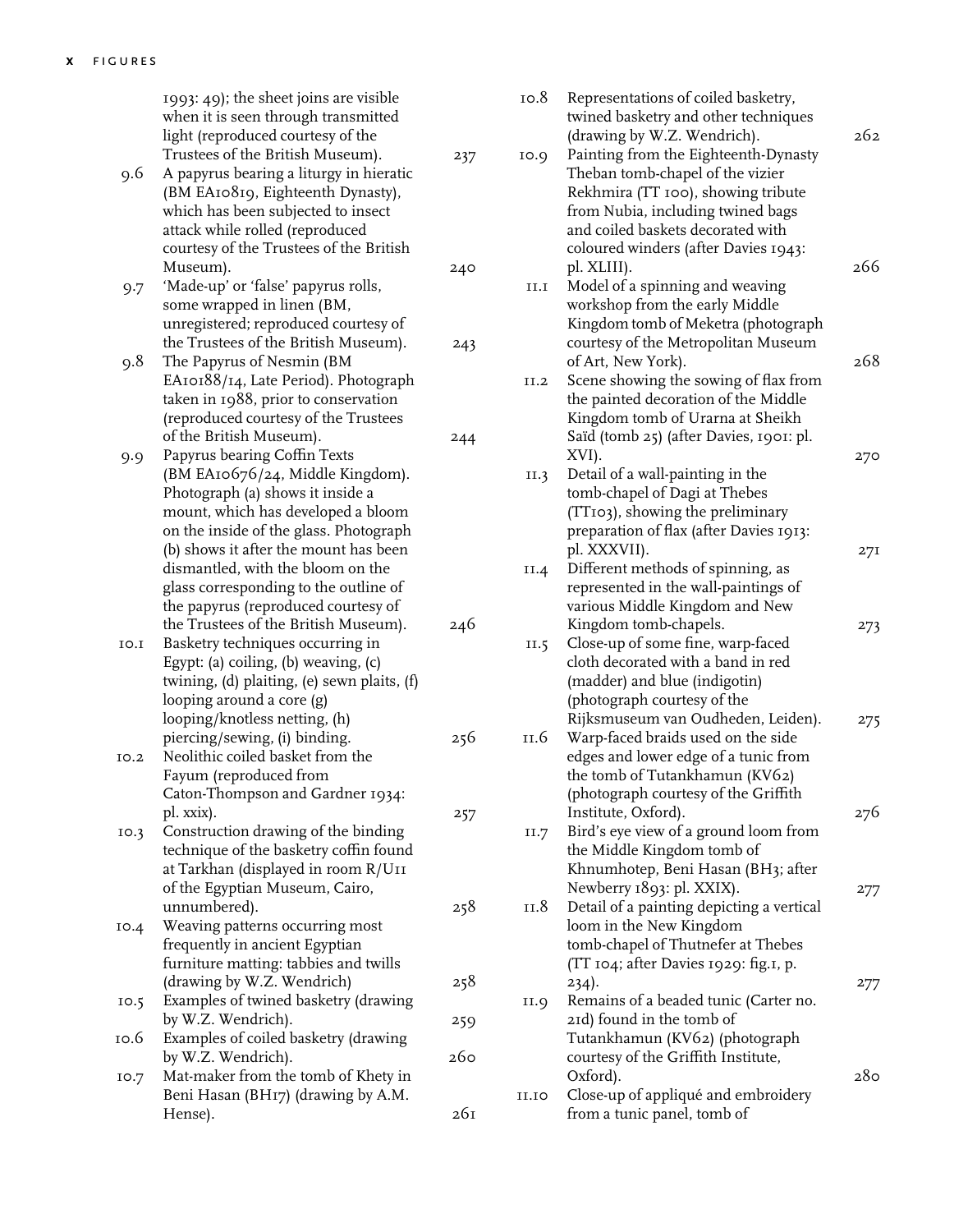|      | 1993: 49); the sheet joins are visible<br>when it is seen through transmitted<br>light (reproduced courtesy of the |     | 10.8  | Representations of coiled basketry,<br>twined basketry and other techniques<br>(drawing by W.Z. Wendrich).     | 262             |
|------|--------------------------------------------------------------------------------------------------------------------|-----|-------|----------------------------------------------------------------------------------------------------------------|-----------------|
| 9.6  | Trustees of the British Museum).<br>A papyrus bearing a liturgy in hieratic<br>(BM EA10819, Eighteenth Dynasty),   | 237 | 10.9  | Painting from the Eighteenth-Dynasty<br>Theban tomb-chapel of the vizier<br>Rekhmira (TT 100), showing tribute |                 |
|      | which has been subjected to insect<br>attack while rolled (reproduced                                              |     |       | from Nubia, including twined bags<br>and coiled baskets decorated with                                         |                 |
|      | courtesy of the Trustees of the British                                                                            |     |       | coloured winders (after Davies 1943:                                                                           |                 |
|      | Museum).                                                                                                           | 240 |       | pl. XLIII).                                                                                                    | 266             |
| 9.7  | 'Made-up' or 'false' papyrus rolls,                                                                                |     | II.I  | Model of a spinning and weaving                                                                                |                 |
|      | some wrapped in linen (BM,                                                                                         |     |       | workshop from the early Middle                                                                                 |                 |
|      | unregistered; reproduced courtesy of<br>the Trustees of the British Museum).                                       |     |       | Kingdom tomb of Meketra (photograph<br>courtesy of the Metropolitan Museum                                     |                 |
| 9.8  | The Papyrus of Nesmin (BM                                                                                          | 243 |       | of Art, New York).                                                                                             | 268             |
|      | EAIOI88/I4, Late Period). Photograph                                                                               |     | II.2  | Scene showing the sowing of flax from                                                                          |                 |
|      | taken in 1988, prior to conservation                                                                               |     |       | the painted decoration of the Middle                                                                           |                 |
|      | (reproduced courtesy of the Trustees                                                                               |     |       | Kingdom tomb of Urarna at Sheikh                                                                               |                 |
|      | of the British Museum).                                                                                            | 244 |       | Saïd (tomb 25) (after Davies, 1901: pl.                                                                        |                 |
| 9.9  | Papyrus bearing Coffin Texts                                                                                       |     |       | XVI).                                                                                                          | 270             |
|      | (BM EA10676/24, Middle Kingdom).                                                                                   |     | II.3  | Detail of a wall-painting in the                                                                               |                 |
|      | Photograph (a) shows it inside a                                                                                   |     |       | tomb-chapel of Dagi at Thebes                                                                                  |                 |
|      | mount, which has developed a bloom                                                                                 |     |       | (TT103), showing the preliminary                                                                               |                 |
|      | on the inside of the glass. Photograph                                                                             |     |       | preparation of flax (after Davies 1913:                                                                        |                 |
|      | (b) shows it after the mount has been                                                                              |     |       | pl. XXXVII).                                                                                                   | 27I             |
|      | dismantled, with the bloom on the                                                                                  |     | II.4  | Different methods of spinning, as                                                                              |                 |
|      | glass corresponding to the outline of                                                                              |     |       | represented in the wall-paintings of                                                                           |                 |
|      | the papyrus (reproduced courtesy of                                                                                |     |       | various Middle Kingdom and New                                                                                 |                 |
|      | the Trustees of the British Museum).                                                                               | 246 |       | Kingdom tomb-chapels.                                                                                          | 273             |
| IO.I | Basketry techniques occurring in<br>Egypt: (a) coiling, (b) weaving, (c)                                           |     | II.5  | Close-up of some fine, warp-faced<br>cloth decorated with a band in red                                        |                 |
|      | twining, (d) plaiting, (e) sewn plaits, (f)                                                                        |     |       | (madder) and blue (indigotin)                                                                                  |                 |
|      | looping around a core (g)                                                                                          |     |       | (photograph courtesy of the                                                                                    |                 |
|      | looping/knotless netting, (h)                                                                                      |     |       | Rijksmuseum van Oudheden, Leiden).                                                                             | 275             |
|      | piercing/sewing, (i) binding.                                                                                      | 256 | 11.6  | Warp-faced braids used on the side                                                                             |                 |
| 10.2 | Neolithic coiled basket from the                                                                                   |     |       | edges and lower edge of a tunic from                                                                           |                 |
|      | Fayum (reproduced from                                                                                             |     |       | the tomb of Tutankhamun (KV62)                                                                                 |                 |
|      | Caton-Thompson and Gardner 1934:                                                                                   |     |       | (photograph courtesy of the Griffith                                                                           |                 |
|      | pl. xxix).                                                                                                         | 257 |       | Institute, Oxford).                                                                                            | 276             |
| IO.3 | Construction drawing of the binding                                                                                |     | II.7  | Bird's eye view of a ground loom from                                                                          |                 |
|      | technique of the basketry coffin found                                                                             |     |       | the Middle Kingdom tomb of                                                                                     |                 |
|      | at Tarkhan (displayed in room R/UII                                                                                |     |       | Khnumhotep, Beni Hasan (BH3; after                                                                             |                 |
|      | of the Egyptian Museum, Cairo,                                                                                     |     |       | Newberry 1893: pl. XXIX).                                                                                      | 277             |
|      | unnumbered).                                                                                                       | 258 | 11.8  | Detail of a painting depicting a vertical                                                                      |                 |
| IO.4 | Weaving patterns occurring most<br>frequently in ancient Egyptian                                                  |     |       | loom in the New Kingdom<br>tomb-chapel of Thutnefer at Thebes                                                  |                 |
|      | furniture matting: tabbies and twills                                                                              |     |       | (TT 104; after Davies 1929: fig.1, p.                                                                          |                 |
|      | (drawing by W.Z. Wendrich)                                                                                         | 258 |       | $234$ ).                                                                                                       | 277             |
| IO.5 | Examples of twined basketry (drawing                                                                               |     | II.9  | Remains of a beaded tunic (Carter no.                                                                          |                 |
|      | by W.Z. Wendrich).                                                                                                 | 259 |       | 21d) found in the tomb of                                                                                      |                 |
| 10.6 | Examples of coiled basketry (drawing                                                                               |     |       | Tutankhamun (KV62) (photograph                                                                                 |                 |
|      | by W.Z. Wendrich).                                                                                                 | 260 |       | courtesy of the Griffith Institute,                                                                            |                 |
| IO.7 | Mat-maker from the tomb of Khety in                                                                                |     |       | Oxford).                                                                                                       | 28 <sub>O</sub> |
|      | Beni Hasan (BH17) (drawing by A.M.                                                                                 |     | II.IO | Close-up of appliqué and embroidery                                                                            |                 |
|      | Hense).                                                                                                            | 261 |       | from a tunic panel, tomb of                                                                                    |                 |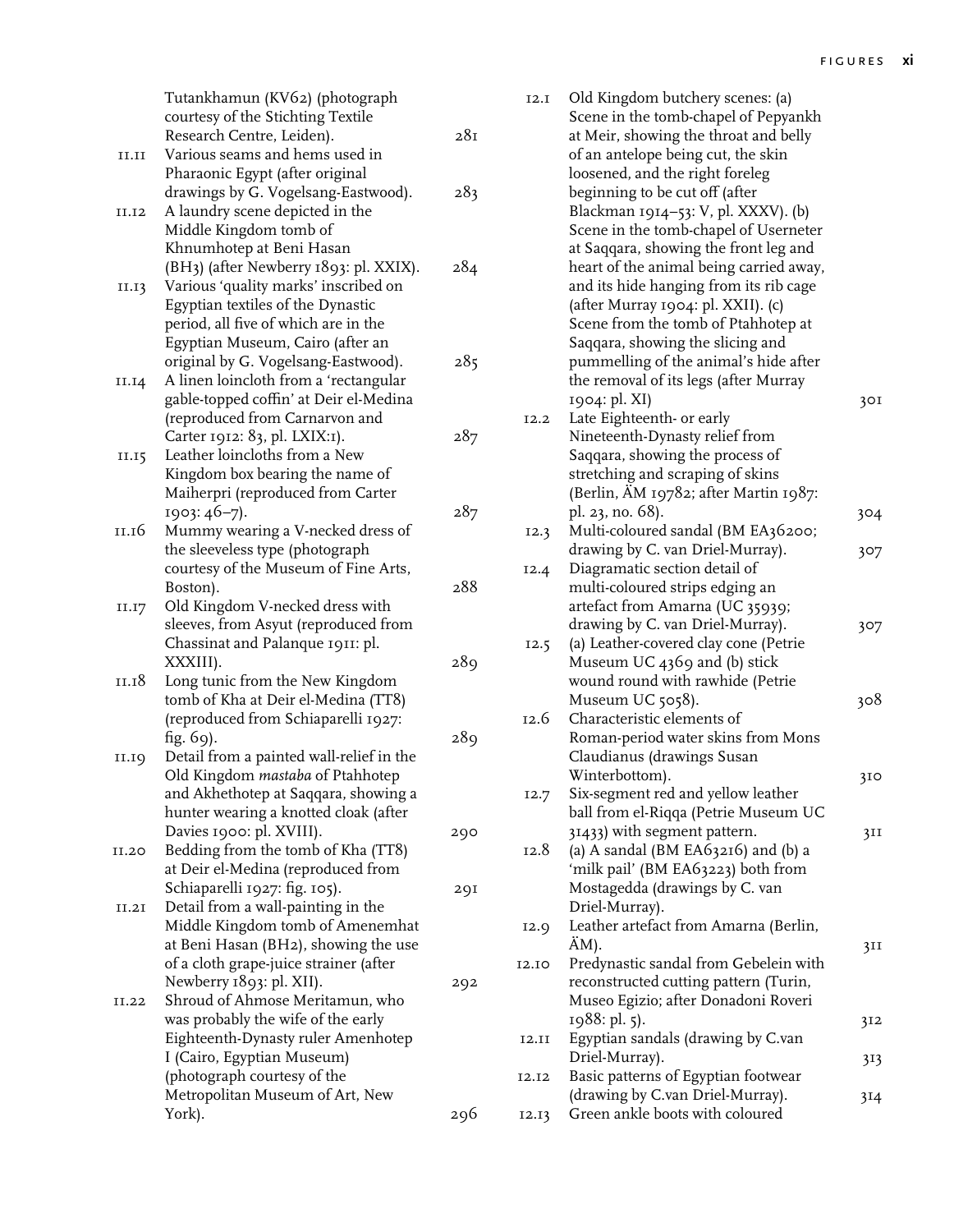|       | Tutankhamun (KV62) (photograph                      |     |
|-------|-----------------------------------------------------|-----|
|       | courtesy of the Stichting Textile                   |     |
|       | Research Centre, Leiden).                           | 281 |
| II.II | Various seams and hems used in                      |     |
|       | Pharaonic Egypt (after original                     |     |
|       | drawings by G. Vogelsang-Eastwood).                 | 283 |
| II.I2 | A laundry scene depicted in the                     |     |
|       | Middle Kingdom tomb of                              |     |
|       | Khnumhotep at Beni Hasan                            |     |
|       | (BH <sub>3</sub> ) (after Newberry 1893: pl. XXIX). | 284 |
| II.I3 | Various 'quality marks' inscribed on                |     |
|       | Egyptian textiles of the Dynastic                   |     |
|       | period, all five of which are in the                |     |
|       | Egyptian Museum, Cairo (after an                    |     |
|       | original by G. Vogelsang-Eastwood).                 | 285 |
| II.I4 | A linen loincloth from a 'rectangular               |     |
|       | gable-topped coffin' at Deir el-Medina              |     |
|       | (reproduced from Carnarvon and                      |     |
|       | Carter 1912: 83, pl. LXIX:1).                       | 287 |
| II.15 | Leather loincloths from a New                       |     |
|       | Kingdom box bearing the name of                     |     |
|       | Maiherpri (reproduced from Carter                   |     |
|       | 1903: 46–7).                                        | 287 |
| 11.16 | Mummy wearing a V-necked dress of                   |     |
|       | the sleeveless type (photograph                     |     |
|       | courtesy of the Museum of Fine Arts,                |     |
|       | Boston).                                            | 288 |
| 11.17 | Old Kingdom V-necked dress with                     |     |
|       | sleeves, from Asyut (reproduced from                |     |
|       | Chassinat and Palanque 1911: pl.                    |     |
|       | XXXIII).                                            | 289 |
| 11.18 | Long tunic from the New Kingdom                     |     |
|       | tomb of Kha at Deir el-Medina (TT8)                 |     |
|       | (reproduced from Schiaparelli 1927:                 |     |
|       | fig. 69).                                           | 289 |
| 11.19 | Detail from a painted wall-relief in the            |     |
|       | Old Kingdom mastaba of Ptahhotep                    |     |
|       | and Akhethotep at Saqqara, showing a                |     |
|       | hunter wearing a knotted cloak (after               |     |
|       | Davies 1900: pl. XVIII).                            | 290 |
| II.20 | Bedding from the tomb of Kha (TT8)                  |     |
|       | at Deir el-Medina (reproduced from                  |     |
|       | Schiaparelli 1927: fig. 105).                       | 291 |
| II.2I | Detail from a wall-painting in the                  |     |
|       | Middle Kingdom tomb of Amenemhat                    |     |
|       | at Beni Hasan (BH2), showing the use                |     |
|       | of a cloth grape-juice strainer (after              |     |
|       | Newberry 1893: pl. XII).                            | 292 |
| II.22 | Shroud of Ahmose Meritamun, who                     |     |
|       | was probably the wife of the early                  |     |
|       | Eighteenth-Dynasty ruler Amenhotep                  |     |
|       | I (Cairo, Egyptian Museum)                          |     |
|       | (photograph courtesy of the                         |     |
|       | Metropolitan Museum of Art, New                     |     |
|       | York).                                              | 296 |
|       |                                                     |     |

| I2.I         | Old Kingdom butchery scenes: (a)<br>Scene in the tomb-chapel of Pepyankh<br>at Meir, showing the throat and belly |     |
|--------------|-------------------------------------------------------------------------------------------------------------------|-----|
|              | of an antelope being cut, the skin<br>loosened, and the right foreleg                                             |     |
|              | beginning to be cut off (after                                                                                    |     |
|              | Blackman 1914-53: V, pl. XXXV). (b)                                                                               |     |
|              | Scene in the tomb-chapel of Userneter                                                                             |     |
|              | at Saqqara, showing the front leg and                                                                             |     |
|              | heart of the animal being carried away,                                                                           |     |
|              | and its hide hanging from its rib cage                                                                            |     |
|              | (after Murray 1904: pl. XXII). (c)                                                                                |     |
|              | Scene from the tomb of Ptahhotep at                                                                               |     |
|              | Saqqara, showing the slicing and                                                                                  |     |
|              | pummelling of the animal's hide after                                                                             |     |
|              | the removal of its legs (after Murray                                                                             |     |
|              | 1904: pl. XI)                                                                                                     | 30I |
| 12.2         | Late Eighteenth- or early                                                                                         |     |
|              | Nineteenth-Dynasty relief from                                                                                    |     |
|              | Saqqara, showing the process of                                                                                   |     |
|              | stretching and scraping of skins                                                                                  |     |
|              | (Berlin, ÄM 19782; after Martin 1987:                                                                             |     |
|              | pl. 23, no. 68).                                                                                                  | 304 |
| 12.3         | Multi-coloured sandal (BM EA36200;                                                                                |     |
|              | drawing by C. van Driel-Murray).                                                                                  | 307 |
| 12.4         | Diagramatic section detail of                                                                                     |     |
|              | multi-coloured strips edging an                                                                                   |     |
|              | artefact from Amarna (UC 35939;                                                                                   |     |
|              | drawing by C. van Driel-Murray).                                                                                  | 307 |
| 12.5         | (a) Leather-covered clay cone (Petrie                                                                             |     |
|              | Museum UC 4369 and (b) stick                                                                                      |     |
|              | wound round with rawhide (Petrie                                                                                  |     |
|              | Museum UC 5058).                                                                                                  | 308 |
| 12.6         | Characteristic elements of                                                                                        |     |
|              | Roman-period water skins from Mons                                                                                |     |
|              | Claudianus (drawings Susan<br>Winterbottom).                                                                      |     |
|              | Six-segment red and yellow leather                                                                                | 310 |
| 12.7         | ball from el-Riqqa (Petrie Museum UC                                                                              |     |
|              | 31433) with segment pattern.                                                                                      | 3II |
| 12.8         | (a) A sandal (BM $EAG3216$ ) and (b) a                                                                            |     |
|              | 'milk pail' (BM EA63223) both from                                                                                |     |
|              | Mostagedda (drawings by C. van                                                                                    |     |
|              | Driel-Murray).                                                                                                    |     |
| 12.9         | Leather artefact from Amarna (Berlin,                                                                             |     |
|              | ÄM).                                                                                                              | 3II |
| <b>I2.IO</b> | Predynastic sandal from Gebelein with                                                                             |     |
|              | reconstructed cutting pattern (Turin,                                                                             |     |
|              | Museo Egizio; after Donadoni Roveri                                                                               |     |
|              | 1988: pl. 5).                                                                                                     | 312 |
| <b>12.II</b> | Egyptian sandals (drawing by C.van                                                                                |     |
|              | Driel-Murray).                                                                                                    | 313 |
| <b>I2.I2</b> | Basic patterns of Egyptian footwear                                                                               |     |
|              | (drawing by C.van Driel-Murray).                                                                                  | 314 |
| 12.13        | Green ankle boots with coloured                                                                                   |     |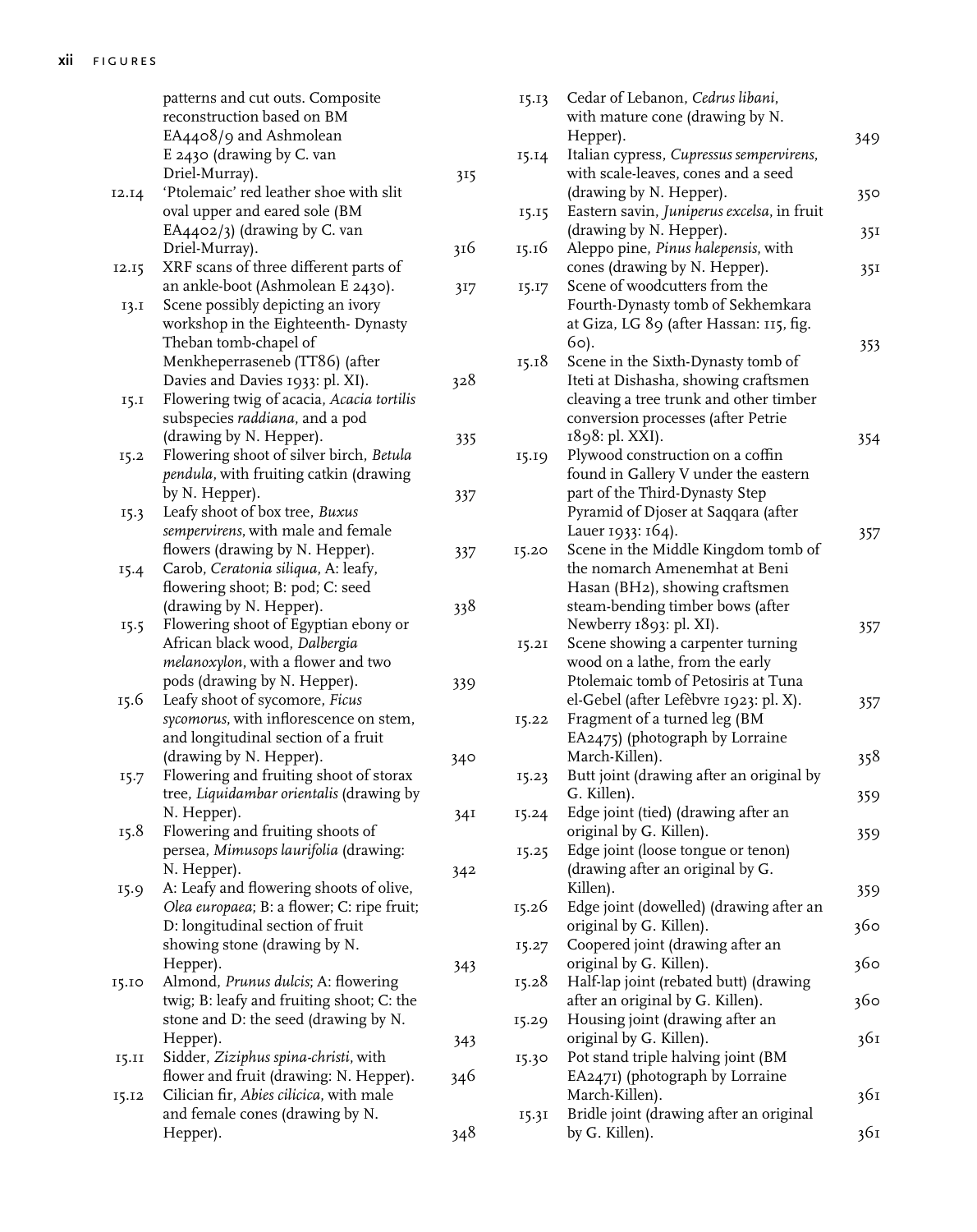|       | patterns and cut outs. Composite           |     |
|-------|--------------------------------------------|-----|
|       | reconstruction based on BM                 |     |
|       | EA4408/9 and Ashmolean                     |     |
|       | E 2430 (drawing by C. van                  |     |
|       | Driel-Murray).                             | 315 |
| 12.14 | 'Ptolemaic' red leather shoe with slit     |     |
|       | oval upper and eared sole (BM              |     |
|       | EA4402/3) (drawing by C. van               |     |
|       | Driel-Murray).                             | 316 |
| 12.15 | XRF scans of three different parts of      |     |
|       | an ankle-boot (Ashmolean E 2430).          | 317 |
| 13.I  | Scene possibly depicting an ivory          |     |
|       | workshop in the Eighteenth- Dynasty        |     |
|       | Theban tomb-chapel of                      |     |
|       | Menkheperraseneb (TT86) (after             |     |
|       | Davies and Davies 1933: pl. XI).           |     |
|       |                                            | 328 |
| 15.1  | Flowering twig of acacia, Acacia tortilis  |     |
|       | subspecies raddiana, and a pod             |     |
|       | (drawing by N. Hepper).                    | 335 |
| 15.2  | Flowering shoot of silver birch, Betula    |     |
|       | pendula, with fruiting catkin (drawing     |     |
|       | by N. Hepper).                             | 337 |
| 15.3  | Leafy shoot of box tree, Buxus             |     |
|       | sempervirens, with male and female         |     |
|       | flowers (drawing by N. Hepper).            | 337 |
| 15.4  | Carob, Ceratonia siliqua, A: leafy,        |     |
|       | flowering shoot; B: pod; C: seed           |     |
|       | (drawing by N. Hepper).                    | 338 |
| 15.5  | Flowering shoot of Egyptian ebony or       |     |
|       | African black wood, Dalbergia              |     |
|       | melanoxylon, with a flower and two         |     |
|       | pods (drawing by N. Hepper).               | 339 |
| 15.6  | Leafy shoot of sycomore, Ficus             |     |
|       | sycomorus, with inflorescence on stem,     |     |
|       | and longitudinal section of a fruit        |     |
|       | (drawing by N. Hepper).                    | 340 |
| 15.7  | Flowering and fruiting shoot of storax     |     |
|       | tree, Liquidambar orientalis (drawing by   |     |
|       | N. Hepper).                                | 34I |
| 15.8  | Flowering and fruiting shoots of           |     |
|       | persea, Mimusops laurifolia (drawing:      |     |
|       | N. Hepper).                                | 342 |
| 15.9  | A: Leafy and flowering shoots of olive,    |     |
|       | Olea europaea; B: a flower; C: ripe fruit; |     |
|       | D: longitudinal section of fruit           |     |
|       | showing stone (drawing by N.               |     |
|       | Hepper).                                   | 343 |
| 15.10 | Almond, Prunus dulcis; A: flowering        |     |
|       | twig; B: leafy and fruiting shoot; C: the  |     |
|       | stone and D: the seed (drawing by N.       |     |
|       | Hepper).                                   |     |
| 15.11 | Sidder, Ziziphus spina-christi, with       | 343 |
|       | flower and fruit (drawing: N. Hepper).     | 346 |
| 15.12 | Cilician fir, Abies cilicica, with male    |     |
|       | and female cones (drawing by N.            |     |
|       | Hepper).                                   | 348 |
|       |                                            |     |

| 15.13 | Cedar of Lebanon, Cedrus libani,                  |     |
|-------|---------------------------------------------------|-----|
|       | with mature cone (drawing by N.                   |     |
|       | Hepper).                                          | 349 |
| 15.14 | Italian cypress, Cupressus sempervirens,          |     |
|       | with scale-leaves, cones and a seed               |     |
|       | (drawing by N. Hepper).                           | 350 |
| 15.15 | Eastern savin, Juniperus excelsa, in fruit        |     |
|       | (drawing by N. Hepper).                           | 35I |
| 15.16 | Aleppo pine, Pinus halepensis, with               |     |
|       | cones (drawing by N. Hepper).                     | 35I |
| 15.17 | Scene of woodcutters from the                     |     |
|       | Fourth-Dynasty tomb of Sekhemkara                 |     |
|       | at Giza, LG 89 (after Hassan: 115, fig.           |     |
|       | 60).                                              | 353 |
| 15.18 | Scene in the Sixth-Dynasty tomb of                |     |
|       | Iteti at Dishasha, showing craftsmen              |     |
|       | cleaving a tree trunk and other timber            |     |
|       | conversion processes (after Petrie                |     |
|       | 1898: pl. XXI).                                   | 354 |
| 15.19 | Plywood construction on a coffin                  |     |
|       | found in Gallery V under the eastern              |     |
|       | part of the Third-Dynasty Step                    |     |
|       | Pyramid of Djoser at Saqqara (after               |     |
|       | Lauer 1933: 164).                                 | 357 |
| 15.20 | Scene in the Middle Kingdom tomb of               |     |
|       | the nomarch Amenemhat at Beni                     |     |
|       | Hasan (BH2), showing craftsmen                    |     |
|       | steam-bending timber bows (after                  |     |
|       | Newberry 1893: pl. XI).                           | 357 |
| 15.21 | Scene showing a carpenter turning                 |     |
|       | wood on a lathe, from the early                   |     |
|       | Ptolemaic tomb of Petosiris at Tuna               |     |
|       | el-Gebel (after Lefèbvre 1923: pl. X).            | 357 |
| 15.22 | Fragment of a turned leg (BM                      |     |
|       | EA2475) (photograph by Lorraine                   |     |
|       | March-Killen).                                    | 358 |
| 15.23 | Butt joint (drawing after an original by          |     |
|       | G. Killen).                                       | 359 |
| 15.24 | Edge joint (tied) (drawing after an               |     |
|       | original by G. Killen).                           | 359 |
| 15.25 | Edge joint (loose tongue or tenon)                |     |
|       | (drawing after an original by G.                  |     |
|       | Killen).                                          |     |
| 15.26 | Edge joint (dowelled) (drawing after an           | 359 |
|       | original by G. Killen).                           | 360 |
| 15.27 | Coopered joint (drawing after an                  |     |
|       | original by G. Killen).                           | 360 |
| 15.28 | Half-lap joint (rebated butt) (drawing            |     |
|       | after an original by G. Killen).                  | 360 |
|       | Housing joint (drawing after an                   |     |
| 15.29 | original by G. Killen).                           | 361 |
|       |                                                   |     |
| 15.30 | Pot stand triple halving joint (BM                |     |
|       | EA2471) (photograph by Lorraine<br>March-Killen). | 361 |
|       | Bridle joint (drawing after an original           |     |
| 15.31 |                                                   |     |
|       | by G. Killen).                                    | 36I |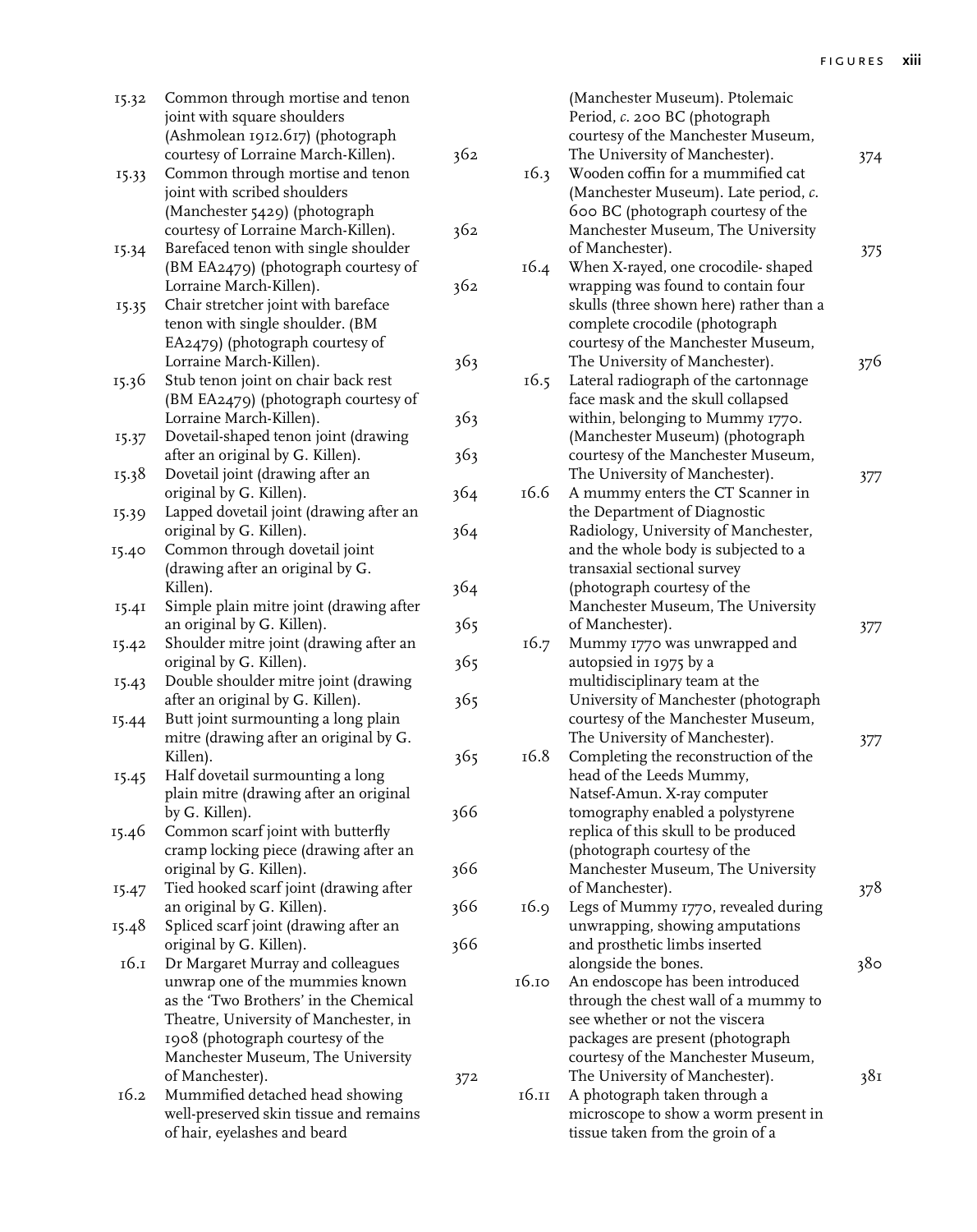| 15.32 | Common through mortise and tenon        |     |       | (Manchester Museum). Ptolemaic          |     |
|-------|-----------------------------------------|-----|-------|-----------------------------------------|-----|
|       | joint with square shoulders             |     |       | Period, c. 200 BC (photograph           |     |
|       | (Ashmolean 1912.617) (photograph        |     |       | courtesy of the Manchester Museum,      |     |
|       | courtesy of Lorraine March-Killen).     | 362 |       | The University of Manchester).          | 374 |
| 15.33 | Common through mortise and tenon        |     | 16.3  | Wooden coffin for a mummified cat       |     |
|       | joint with scribed shoulders            |     |       | (Manchester Museum). Late period, c.    |     |
|       | (Manchester 5429) (photograph           |     |       | 600 BC (photograph courtesy of the      |     |
|       | courtesy of Lorraine March-Killen).     | 362 |       | Manchester Museum, The University       |     |
| 15.34 | Barefaced tenon with single shoulder    |     |       | of Manchester).                         |     |
|       | (BM EA2479) (photograph courtesy of     |     | 16.4  | When X-rayed, one crocodile-shaped      | 375 |
|       | Lorraine March-Killen).                 | 362 |       | wrapping was found to contain four      |     |
|       | Chair stretcher joint with bareface     |     |       | skulls (three shown here) rather than a |     |
| 15.35 |                                         |     |       | complete crocodile (photograph          |     |
|       | tenon with single shoulder. (BM         |     |       |                                         |     |
|       | EA2479) (photograph courtesy of         |     |       | courtesy of the Manchester Museum,      |     |
|       | Lorraine March-Killen).                 | 363 |       | The University of Manchester).          | 376 |
| 15.36 | Stub tenon joint on chair back rest     |     | 16.5  | Lateral radiograph of the cartonnage    |     |
|       | (BM EA2479) (photograph courtesy of     |     |       | face mask and the skull collapsed       |     |
|       | Lorraine March-Killen).                 | 363 |       | within, belonging to Mummy 1770.        |     |
| 15.37 | Dovetail-shaped tenon joint (drawing    |     |       | (Manchester Museum) (photograph         |     |
|       | after an original by G. Killen).        | 363 |       | courtesy of the Manchester Museum,      |     |
| 15.38 | Dovetail joint (drawing after an        |     |       | The University of Manchester).          | 377 |
|       | original by G. Killen).                 | 364 | 16.6  | A mummy enters the CT Scanner in        |     |
| 15.39 | Lapped dovetail joint (drawing after an |     |       | the Department of Diagnostic            |     |
|       | original by G. Killen).                 | 364 |       | Radiology, University of Manchester,    |     |
| 15.40 | Common through dovetail joint           |     |       | and the whole body is subjected to a    |     |
|       | (drawing after an original by G.        |     |       | transaxial sectional survey             |     |
|       | Killen).                                | 364 |       | (photograph courtesy of the             |     |
| 15.41 | Simple plain mitre joint (drawing after |     |       | Manchester Museum, The University       |     |
|       | an original by G. Killen).              | 365 |       | of Manchester).                         | 377 |
| 15.42 | Shoulder mitre joint (drawing after an  |     | 16.7  | Mummy 1770 was unwrapped and            |     |
|       | original by G. Killen).                 | 365 |       | autopsied in 1975 by a                  |     |
| 15.43 | Double shoulder mitre joint (drawing    |     |       | multidisciplinary team at the           |     |
|       | after an original by G. Killen).        | 365 |       | University of Manchester (photograph    |     |
| 15.44 | Butt joint surmounting a long plain     |     |       | courtesy of the Manchester Museum,      |     |
|       | mitre (drawing after an original by G.  |     |       | The University of Manchester).          | 377 |
|       | Killen).                                | 365 | 16.8  | Completing the reconstruction of the    |     |
| 15.45 | Half dovetail surmounting a long        |     |       | head of the Leeds Mummy,                |     |
|       | plain mitre (drawing after an original  |     |       | Natsef-Amun. X-ray computer             |     |
|       | by G. Killen).                          | 366 |       | tomography enabled a polystyrene        |     |
| 15.46 | Common scarf joint with butterfly       |     |       | replica of this skull to be produced    |     |
|       | cramp locking piece (drawing after an   |     |       | (photograph courtesy of the             |     |
|       | original by G. Killen).                 | 366 |       | Manchester Museum, The University       |     |
| 15.47 | Tied hooked scarf joint (drawing after  |     |       | of Manchester).                         | 378 |
|       | an original by G. Killen).              | 366 | 16.9  | Legs of Mummy 1770, revealed during     |     |
| 15.48 | Spliced scarf joint (drawing after an   |     |       | unwrapping, showing amputations         |     |
|       | original by G. Killen).                 | 366 |       | and prosthetic limbs inserted           |     |
| 16.1  | Dr Margaret Murray and colleagues       |     |       | alongside the bones.                    | 380 |
|       | unwrap one of the mummies known         |     | 16.10 | An endoscope has been introduced        |     |
|       | as the 'Two Brothers' in the Chemical   |     |       | through the chest wall of a mummy to    |     |
|       | Theatre, University of Manchester, in   |     |       | see whether or not the viscera          |     |
|       | 1908 (photograph courtesy of the        |     |       | packages are present (photograph        |     |
|       | Manchester Museum, The University       |     |       | courtesy of the Manchester Museum,      |     |
|       | of Manchester).                         | 372 |       | The University of Manchester).          | 381 |
| 16.2  | Mummified detached head showing         |     | 16.11 | A photograph taken through a            |     |
|       | well-preserved skin tissue and remains  |     |       | microscope to show a worm present in    |     |
|       | of hair, eyelashes and beard            |     |       | tissue taken from the groin of a        |     |
|       |                                         |     |       |                                         |     |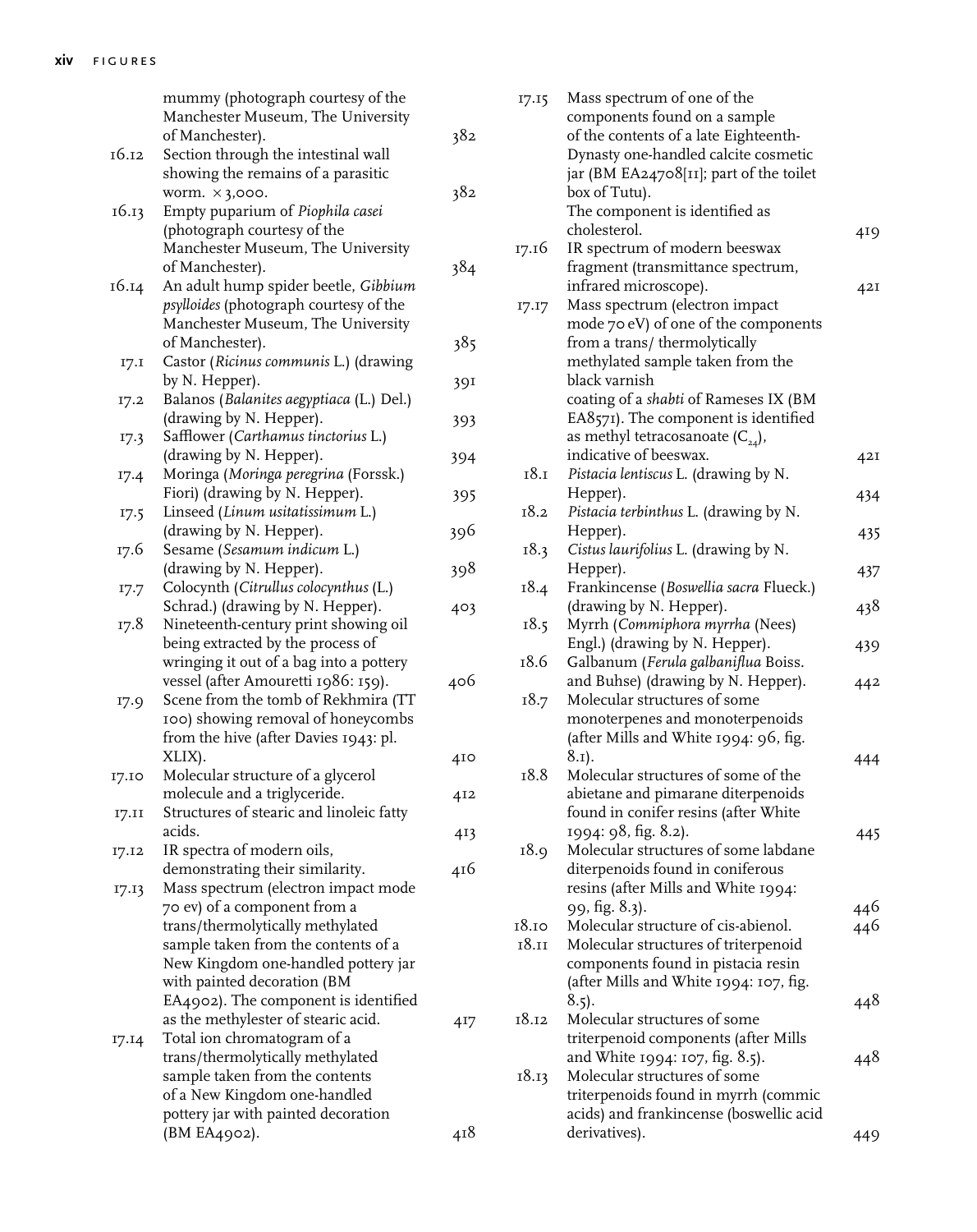|       | mummy (photograph courtesy of the                                          |     |
|-------|----------------------------------------------------------------------------|-----|
|       | Manchester Museum, The University                                          |     |
| 16.12 | of Manchester).<br>Section through the intestinal wall                     | 382 |
|       | showing the remains of a parasitic                                         |     |
|       | worm. $\times$ 3,000.                                                      | 382 |
| 16.13 | Empty puparium of Piophila casei                                           |     |
|       | (photograph courtesy of the                                                |     |
|       | Manchester Museum, The University                                          |     |
|       | of Manchester).                                                            | 384 |
| 16.14 | An adult hump spider beetle, Gibbium                                       |     |
|       | psylloides (photograph courtesy of the                                     |     |
|       | Manchester Museum, The University                                          |     |
|       | of Manchester).                                                            | 385 |
| I7.1  | Castor (Ricinus communis L.) (drawing                                      |     |
|       | by N. Hepper).                                                             | 391 |
| 17.2  | Balanos (Balanites aegyptiaca (L.) Del.)                                   |     |
|       | (drawing by N. Hepper).                                                    | 393 |
| 17.3  | Safflower (Carthamus tinctorius L.)                                        |     |
|       | (drawing by N. Hepper).                                                    | 394 |
| 17.4  | Moringa (Moringa peregrina (Forssk.)                                       |     |
|       | Fiori) (drawing by N. Hepper).                                             | 395 |
| 17.5  | Linseed (Linum usitatissimum L.)                                           |     |
|       | (drawing by N. Hepper).                                                    | 396 |
| 17.6  | Sesame (Sesamum indicum L.)                                                |     |
|       | (drawing by N. Hepper).                                                    | 398 |
| 17.7  | Colocynth (Citrullus colocynthus (L.)                                      |     |
|       | Schrad.) (drawing by N. Hepper).                                           | 403 |
| 17.8  | Nineteenth-century print showing oil                                       |     |
|       | being extracted by the process of                                          |     |
|       | wringing it out of a bag into a pottery                                    |     |
|       | vessel (after Amouretti 1986: 159).                                        | 406 |
| 17.9  | Scene from the tomb of Rekhmira (TT                                        |     |
|       | 100) showing removal of honeycombs                                         |     |
|       | from the hive (after Davies 1943: pl.                                      |     |
|       | XLIX).                                                                     | 410 |
| 17.10 | Molecular structure of a glycerol                                          |     |
|       | molecule and a triglyceride.                                               | 412 |
| I7.II | Structures of stearic and linoleic fatty                                   |     |
|       | acids.                                                                     | 413 |
| 17.12 | IR spectra of modern oils,                                                 |     |
|       | demonstrating their similarity.                                            | 416 |
| 17.13 | Mass spectrum (electron impact mode                                        |     |
|       | 70 ev) of a component from a                                               |     |
|       | trans/thermolytically methylated                                           |     |
|       | sample taken from the contents of a<br>New Kingdom one-handled pottery jar |     |
|       | with painted decoration (BM                                                |     |
|       | EA4902). The component is identified                                       |     |
|       | as the methylester of stearic acid.                                        |     |
|       | Total ion chromatogram of a                                                | 417 |
| 17.14 | trans/thermolytically methylated                                           |     |
|       | sample taken from the contents                                             |     |
|       | of a New Kingdom one-handled                                               |     |
|       | pottery jar with painted decoration                                        |     |
|       | (BM EA4902).                                                               | 418 |
|       |                                                                            |     |

| 17.15 | Mass spectrum of one of the             |     |
|-------|-----------------------------------------|-----|
|       | components found on a sample            |     |
|       | of the contents of a late Eighteenth-   |     |
|       | Dynasty one-handled calcite cosmetic    |     |
|       | jar (BM EA24708[II]; part of the toilet |     |
|       | box of Tutu).                           |     |
|       | The component is identified as          |     |
|       | cholesterol.                            | 419 |
| 17.16 | IR spectrum of modern beeswax           |     |
|       | fragment (transmittance spectrum,       |     |
|       | infrared microscope).                   | 42I |
| 17.17 | Mass spectrum (electron impact          |     |
|       | mode 70 eV) of one of the components    |     |
|       | from a trans/ thermolytically           |     |
|       | methylated sample taken from the        |     |
|       | black varnish                           |     |
|       | coating of a shabti of Rameses IX (BM   |     |
|       | EA8571). The component is identified    |     |
|       | as methyl tetracosanoate $(C_{24})$ ,   |     |
|       | indicative of beeswax.                  | 42I |
| 18.1  | Pistacia lentiscus L. (drawing by N.    |     |
|       | Hepper).                                |     |
| 18.2  | Pistacia terbinthus L. (drawing by N.   | 434 |
|       | Hepper).                                |     |
| 18.3  | Cistus laurifolius L. (drawing by N.    | 435 |
|       | Hepper).                                |     |
| 18.4  | Frankincense (Boswellia sacra Flueck.)  | 437 |
|       |                                         |     |
|       | (drawing by N. Hepper).                 | 438 |
| 18.5  | Myrrh (Commiphora myrrha (Nees)         |     |
| 18.6  | Engl.) (drawing by N. Hepper).          | 439 |
|       | Galbanum (Ferula galbaniflua Boiss.     |     |
|       | and Buhse) (drawing by N. Hepper).      | 442 |
| 18.7  | Molecular structures of some            |     |
|       | monoterpenes and monoterpenoids         |     |
|       | (after Mills and White 1994: 96, fig.   |     |
|       | $8.1$ ).                                | 444 |
| 18.8  | Molecular structures of some of the     |     |
|       | abietane and pimarane diterpenoids      |     |
|       | found in conifer resins (after White    |     |
|       | 1994: 98, fig. 8.2).                    | 445 |
| 18.9  | Molecular structures of some labdane    |     |
|       | diterpenoids found in coniferous        |     |
|       | resins (after Mills and White 1994:     |     |
|       | 99, fig. 8.3).                          | 446 |
| 18.10 | Molecular structure of cis-abienol.     | 446 |
| 18.11 | Molecular structures of triterpenoid    |     |
|       | components found in pistacia resin      |     |
|       | (after Mills and White 1994: 107, fig.  |     |
|       | $8.5$ ).                                | 448 |
| 18.12 | Molecular structures of some            |     |
|       | triterpenoid components (after Mills    |     |
|       | and White 1994: 107, fig. 8.5).         | 448 |
| 18.13 | Molecular structures of some            |     |
|       | triterpenoids found in myrrh (commic    |     |
|       | acids) and frankincense (boswellic acid |     |
|       | derivatives).                           | 449 |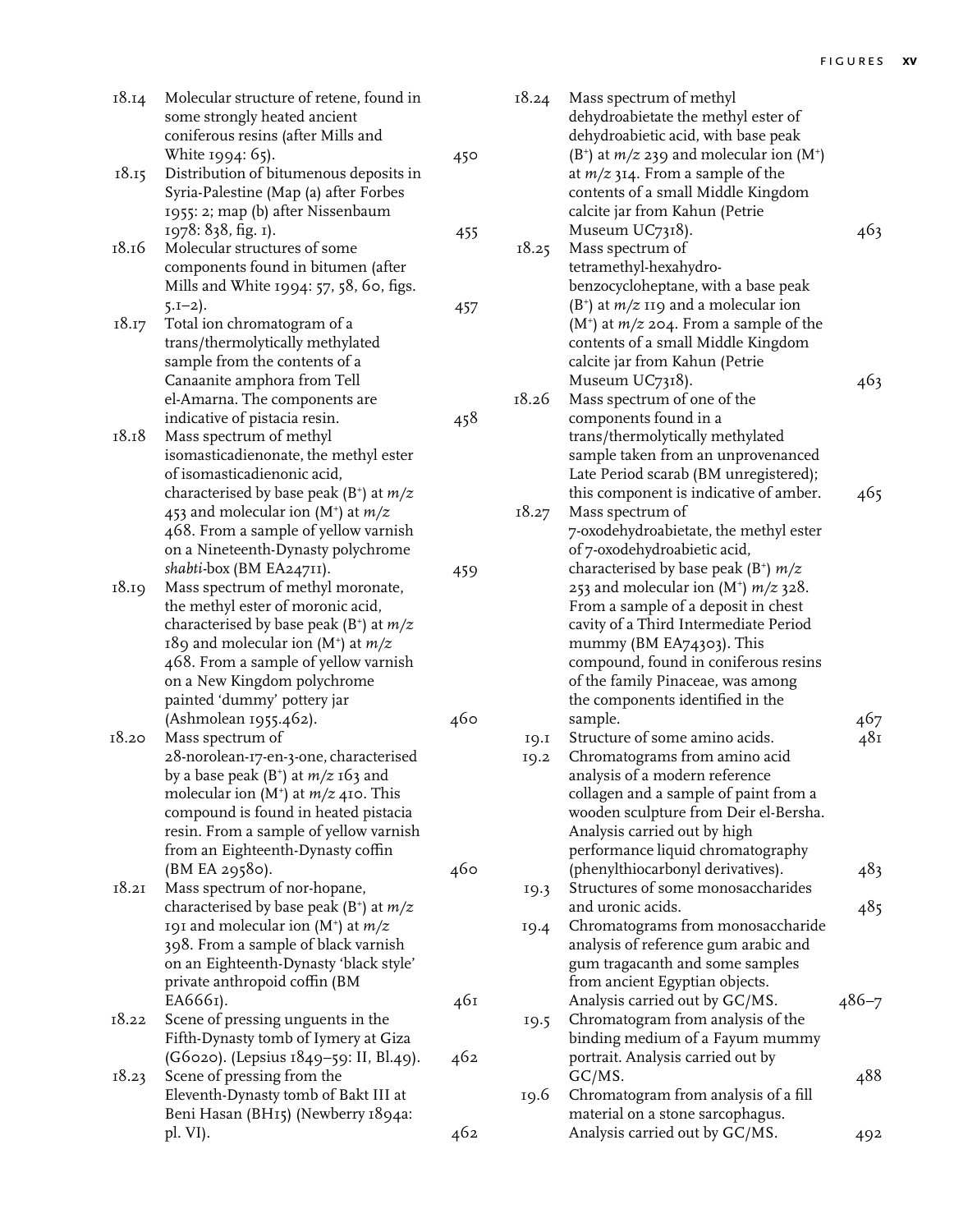| 18.14 | Molecular structure of retene, found in               |     |
|-------|-------------------------------------------------------|-----|
|       | some strongly heated ancient                          |     |
|       | coniferous resins (after Mills and                    |     |
|       | White 1994: 65).                                      | 450 |
| 18.15 | Distribution of bitumenous deposits in                |     |
|       | Syria-Palestine (Map (a) after Forbes                 |     |
|       | 1955: 2; map (b) after Nissenbaum                     |     |
|       | 1978: 838, fig. 1).                                   | 455 |
| 18.16 | Molecular structures of some                          |     |
|       | components found in bitumen (after                    |     |
|       | Mills and White 1994: 57, 58, 60, figs.               |     |
|       | $5.1 - 2$ ).                                          |     |
| 18.17 | Total ion chromatogram of a                           | 457 |
|       | trans/thermolytically methylated                      |     |
|       |                                                       |     |
|       | sample from the contents of a                         |     |
|       | Canaanite amphora from Tell                           |     |
|       | el-Amarna. The components are                         |     |
|       | indicative of pistacia resin.                         | 458 |
| 18.18 | Mass spectrum of methyl                               |     |
|       | isomasticadienonate, the methyl ester                 |     |
|       | of isomasticadienonic acid,                           |     |
|       | characterised by base peak (B <sup>+</sup> ) at $m/z$ |     |
|       | 453 and molecular ion (M <sup>+</sup> ) at $m/z$      |     |
|       | 468. From a sample of yellow varnish                  |     |
|       | on a Nineteenth-Dynasty polychrome                    |     |
|       | shabti-box (BM EA24711).                              | 459 |
| 18.19 | Mass spectrum of methyl moronate,                     |     |
|       | the methyl ester of moronic acid,                     |     |
|       | characterised by base peak (B <sup>+</sup> ) at $m/z$ |     |
|       | 189 and molecular ion (M <sup>+</sup> ) at $m/z$      |     |
|       | 468. From a sample of yellow varnish                  |     |
|       | on a New Kingdom polychrome                           |     |
|       | painted 'dummy' pottery jar                           |     |
|       | (Ashmolean 1955.462).                                 | 460 |
| 18.20 | Mass spectrum of                                      |     |
|       | 28-norolean-17-en-3-one, characterised                |     |
|       | by a base peak (B <sup>+</sup> ) at $m/z$ 163 and     |     |
|       | molecular ion (M <sup>+</sup> ) at $m/z$ 410. This    |     |
|       | compound is found in heated pistacia                  |     |
|       | resin. From a sample of yellow varnish                |     |
|       | from an Eighteenth-Dynasty coffin                     |     |
|       | (BM EA 29580).                                        | 460 |
| 18.21 | Mass spectrum of nor-hopane,                          |     |
|       | characterised by base peak ( $B^+$ ) at $m/z$         |     |
|       | 191 and molecular ion (M <sup>+</sup> ) at $m/z$      |     |
|       | 398. From a sample of black varnish                   |     |
|       | on an Eighteenth-Dynasty 'black style'                |     |
|       | private anthropoid coffin (BM                         |     |
|       | EA6661).                                              | 461 |
| 18.22 | Scene of pressing unguents in the                     |     |
|       | Fifth-Dynasty tomb of Iymery at Giza                  |     |
|       | (G6020). (Lepsius 1849–59: II, Bl.49).                | 462 |
| 18.23 | Scene of pressing from the                            |     |
|       | Eleventh-Dynasty tomb of Bakt III at                  |     |
|       | Beni Hasan (BH15) (Newberry 1894a:                    |     |
|       | pl. VI).                                              | 462 |
|       |                                                       |     |

| 18.24 | Mass spectrum of methyl<br>dehydroabietate the methyl ester of<br>dehydroabietic acid, with base peak |           |
|-------|-------------------------------------------------------------------------------------------------------|-----------|
|       | $(B^+)$ at $m/z$ 239 and molecular ion $(M^+)$<br>at $m/z$ 314. From a sample of the                  |           |
|       | contents of a small Middle Kingdom                                                                    |           |
|       | calcite jar from Kahun (Petrie<br>Museum UC7318).                                                     | 463       |
| 18.25 | Mass spectrum of                                                                                      |           |
|       | tetramethyl-hexahydro-                                                                                |           |
|       | benzocycloheptane, with a base peak                                                                   |           |
|       | $(B^+)$ at $m/z$ 119 and a molecular ion                                                              |           |
|       | $(M^+)$ at $m/z$ 204. From a sample of the<br>contents of a small Middle Kingdom                      |           |
|       | calcite jar from Kahun (Petrie                                                                        |           |
|       | Museum UC7318).                                                                                       | 463       |
| 18.26 | Mass spectrum of one of the                                                                           |           |
|       | components found in a                                                                                 |           |
|       | trans/thermolytically methylated                                                                      |           |
|       | sample taken from an unprovenanced                                                                    |           |
|       | Late Period scarab (BM unregistered);                                                                 |           |
|       | this component is indicative of amber.<br>Mass spectrum of                                            | 465       |
| 18.27 | 7-oxodehydroabietate, the methyl ester                                                                |           |
|       | of 7-oxodehydroabietic acid,                                                                          |           |
|       | characterised by base peak (B <sup>+</sup> ) $m/z$                                                    |           |
|       | 253 and molecular ion (M <sup>+</sup> ) $m/z$ 328.                                                    |           |
|       | From a sample of a deposit in chest                                                                   |           |
|       | cavity of a Third Intermediate Period                                                                 |           |
|       | mummy (BM EA74303). This                                                                              |           |
|       | compound, found in coniferous resins                                                                  |           |
|       | of the family Pinaceae, was among<br>the components identified in the                                 |           |
|       | sample.                                                                                               | 467       |
| 19.I  | Structure of some amino acids.                                                                        | 481       |
| 19.2  | Chromatograms from amino acid                                                                         |           |
|       | analysis of a modern reference                                                                        |           |
|       | collagen and a sample of paint from a                                                                 |           |
|       | wooden sculpture from Deir el-Bersha.                                                                 |           |
|       | Analysis carried out by high                                                                          |           |
|       | performance liquid chromatography                                                                     |           |
|       | (phenylthiocarbonyl derivatives).<br>Structures of some monosaccharides                               | 483       |
| 19.3  | and uronic acids.                                                                                     | 485       |
| 19.4  | Chromatograms from monosaccharide                                                                     |           |
|       | analysis of reference gum arabic and                                                                  |           |
|       | gum tragacanth and some samples                                                                       |           |
|       | from ancient Egyptian objects.                                                                        |           |
|       | Analysis carried out by GC/MS.                                                                        | $486 - 7$ |
| 19.5  | Chromatogram from analysis of the                                                                     |           |
|       | binding medium of a Fayum mummy                                                                       |           |
|       | portrait. Analysis carried out by<br>GC/MS.                                                           | 488       |
| 19.6  | Chromatogram from analysis of a fill                                                                  |           |
|       | material on a stone sarcophagus.                                                                      |           |
|       | Analysis carried out by GC/MS.                                                                        | 492       |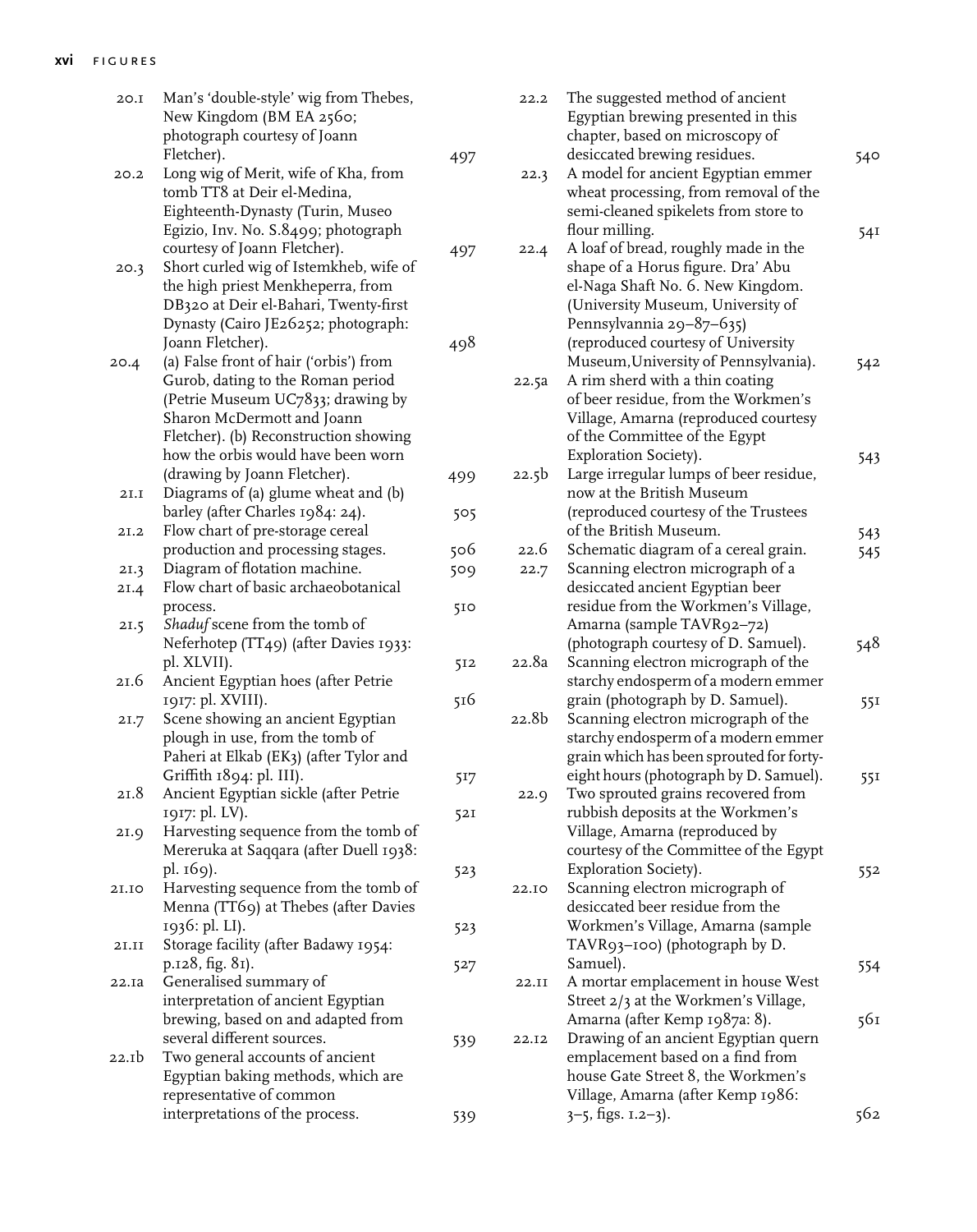| 20.1  | Man's 'double-style' wig from Thebes,<br>New Kingdom (BM EA 2560;<br>photograph courtesy of Joann |     | 22.2              | The suggested method of ancient<br>Egyptian brewing presented in this<br>chapter, based on microscopy of |     |
|-------|---------------------------------------------------------------------------------------------------|-----|-------------------|----------------------------------------------------------------------------------------------------------|-----|
|       | Fletcher).                                                                                        | 497 |                   | desiccated brewing residues.                                                                             | 540 |
| 20.2  | Long wig of Merit, wife of Kha, from<br>tomb TT8 at Deir el-Medina,                               |     | 22.3              | A model for ancient Egyptian emmer<br>wheat processing, from removal of the                              |     |
|       | Eighteenth-Dynasty (Turin, Museo                                                                  |     |                   | semi-cleaned spikelets from store to                                                                     |     |
|       | Egizio, Inv. No. S.8499; photograph                                                               |     |                   | flour milling.                                                                                           | 54I |
|       | courtesy of Joann Fletcher).                                                                      | 497 | 22.4              | A loaf of bread, roughly made in the                                                                     |     |
| 20.3  | Short curled wig of Istemkheb, wife of                                                            |     |                   | shape of a Horus figure. Dra' Abu                                                                        |     |
|       | the high priest Menkheperra, from                                                                 |     |                   | el-Naga Shaft No. 6. New Kingdom.                                                                        |     |
|       | DB320 at Deir el-Bahari, Twenty-first                                                             |     |                   | (University Museum, University of                                                                        |     |
|       | Dynasty (Cairo JE26252; photograph:<br>Joann Fletcher).                                           |     |                   | Pennsylvannia 29-87-635)<br>(reproduced courtesy of University                                           |     |
| 20.4  | (a) False front of hair ('orbis') from                                                            | 498 |                   | Museum, University of Pennsylvania).                                                                     |     |
|       | Gurob, dating to the Roman period                                                                 |     | 22.5a             | A rim sherd with a thin coating                                                                          | 542 |
|       | (Petrie Museum UC7833; drawing by                                                                 |     |                   | of beer residue, from the Workmen's                                                                      |     |
|       | Sharon McDermott and Joann                                                                        |     |                   | Village, Amarna (reproduced courtesy                                                                     |     |
|       | Fletcher). (b) Reconstruction showing                                                             |     |                   | of the Committee of the Egypt                                                                            |     |
|       | how the orbis would have been worn                                                                |     |                   | Exploration Society).                                                                                    | 543 |
|       | (drawing by Joann Fletcher).                                                                      | 499 | 22.5 <sub>b</sub> | Large irregular lumps of beer residue,                                                                   |     |
| 2I.I  | Diagrams of (a) glume wheat and (b)                                                               |     |                   | now at the British Museum                                                                                |     |
|       | barley (after Charles 1984: 24).                                                                  | 505 |                   | (reproduced courtesy of the Trustees                                                                     |     |
| 21.2  | Flow chart of pre-storage cereal                                                                  |     |                   | of the British Museum.                                                                                   | 543 |
|       | production and processing stages.                                                                 | 506 | 22.6              | Schematic diagram of a cereal grain.                                                                     | 545 |
| 2I.3  | Diagram of flotation machine.                                                                     | 509 | 22.7              | Scanning electron micrograph of a                                                                        |     |
| 2I.4  | Flow chart of basic archaeobotanical                                                              |     |                   | desiccated ancient Egyptian beer                                                                         |     |
|       | process.                                                                                          | 510 |                   | residue from the Workmen's Village,                                                                      |     |
| 21.5  | Shaduf scene from the tomb of                                                                     |     |                   | Amarna (sample TAVR92-72)                                                                                |     |
|       | Neferhotep (TT49) (after Davies 1933:                                                             |     |                   | (photograph courtesy of D. Samuel).                                                                      | 548 |
|       | pl. XLVII).                                                                                       | 512 | 22.8a             | Scanning electron micrograph of the                                                                      |     |
| 21.6  | Ancient Egyptian hoes (after Petrie                                                               |     |                   | starchy endosperm of a modern emmer                                                                      |     |
|       | 1917: pl. XVIII).                                                                                 | 516 |                   | grain (photograph by D. Samuel).                                                                         | 551 |
| 21.7  | Scene showing an ancient Egyptian                                                                 |     | 22.8b             | Scanning electron micrograph of the                                                                      |     |
|       | plough in use, from the tomb of                                                                   |     |                   | starchy endosperm of a modern emmer                                                                      |     |
|       | Paheri at Elkab (EK3) (after Tylor and<br>Griffith 1894: pl. III).                                |     |                   | grain which has been sprouted for forty-<br>eight hours (photograph by D. Samuel).                       |     |
| 21.8  | Ancient Egyptian sickle (after Petrie                                                             | 517 | 22.9              | Two sprouted grains recovered from                                                                       | 551 |
|       | 1917: pl. LV).                                                                                    | 52I |                   | rubbish deposits at the Workmen's                                                                        |     |
| 21.9  | Harvesting sequence from the tomb of                                                              |     |                   | Village, Amarna (reproduced by                                                                           |     |
|       | Mereruka at Saqqara (after Duell 1938:                                                            |     |                   | courtesy of the Committee of the Egypt                                                                   |     |
|       | pl. 169).                                                                                         | 523 |                   | Exploration Society).                                                                                    | 552 |
| 21.IO | Harvesting sequence from the tomb of                                                              |     | 22.10             | Scanning electron micrograph of                                                                          |     |
|       | Menna (TT69) at Thebes (after Davies                                                              |     |                   | desiccated beer residue from the                                                                         |     |
|       | 1936: pl. LI).                                                                                    | 523 |                   | Workmen's Village, Amarna (sample                                                                        |     |
| 21.II | Storage facility (after Badawy 1954:                                                              |     |                   | TAVR93-100) (photograph by D.                                                                            |     |
|       | $p.128, fig. 81$ .                                                                                | 527 |                   | Samuel).                                                                                                 | 554 |
| 22.Ia | Generalised summary of                                                                            |     | 22.II             | A mortar emplacement in house West                                                                       |     |
|       | interpretation of ancient Egyptian                                                                |     |                   | Street 2/3 at the Workmen's Village,                                                                     |     |
|       | brewing, based on and adapted from                                                                |     |                   | Amarna (after Kemp 1987a: 8).                                                                            | 561 |
|       | several different sources.                                                                        | 539 | 22.12             | Drawing of an ancient Egyptian quern                                                                     |     |
| 22.1b | Two general accounts of ancient                                                                   |     |                   | emplacement based on a find from                                                                         |     |
|       | Egyptian baking methods, which are                                                                |     |                   | house Gate Street 8, the Workmen's                                                                       |     |
|       | representative of common                                                                          |     |                   | Village, Amarna (after Kemp 1986:                                                                        |     |
|       | interpretations of the process.                                                                   | 539 |                   | $3-5$ , figs. 1.2-3).                                                                                    | 562 |

| 22.2  | The suggested method of ancient                                     |                 |
|-------|---------------------------------------------------------------------|-----------------|
|       | Egyptian brewing presented in this                                  |                 |
|       | chapter, based on microscopy of                                     |                 |
|       | desiccated brewing residues.                                        | 540             |
| 22.3  | A model for ancient Egyptian emmer                                  |                 |
|       | wheat processing, from removal of the                               |                 |
|       | semi-cleaned spikelets from store to                                |                 |
|       | flour milling.                                                      | 54 <sup>T</sup> |
| 22.4  | A loaf of bread, roughly made in the                                |                 |
|       | shape of a Horus figure. Dra' Abu                                   |                 |
|       | el-Naga Shaft No. 6. New Kingdom.                                   |                 |
|       | (University Museum, University of                                   |                 |
|       | Pennsylvannia 29-87-635)                                            |                 |
|       | (reproduced courtesy of University                                  |                 |
|       | Museum, University of Pennsylvania).                                | 542             |
| 22.5a | A rim sherd with a thin coating                                     |                 |
|       | of beer residue, from the Workmen's                                 |                 |
|       | Village, Amarna (reproduced courtesy                                |                 |
|       | of the Committee of the Egypt                                       |                 |
|       | Exploration Society).                                               |                 |
|       |                                                                     | 543             |
| 22.5b | Large irregular lumps of beer residue,<br>now at the British Museum |                 |
|       | (reproduced courtesy of the Trustees                                |                 |
|       | of the British Museum.                                              |                 |
|       |                                                                     | 543             |
| 22.6  | Schematic diagram of a cereal grain.                                | 545             |
| 22.7  | Scanning electron micrograph of a                                   |                 |
|       | desiccated ancient Egyptian beer                                    |                 |
|       | residue from the Workmen's Village,                                 |                 |
|       | Amarna (sample TAVR92-72)                                           |                 |
|       | (photograph courtesy of D. Samuel).                                 | 548             |
| 22.8a | Scanning electron micrograph of the                                 |                 |
|       | starchy endosperm of a modern emmer                                 |                 |
|       | grain (photograph by D. Samuel).                                    | 551             |
| 22.8b | Scanning electron micrograph of the                                 |                 |
|       | starchy endosperm of a modern emmer                                 |                 |
|       | grain which has been sprouted for forty-                            |                 |
|       | eight hours (photograph by D. Samuel).                              | 551             |
| 22.9  | Two sprouted grains recovered from                                  |                 |
|       | rubbish deposits at the Workmen's                                   |                 |
|       | Village, Amarna (reproduced by                                      |                 |
|       | courtesy of the Committee of the Egypt                              |                 |
|       | Exploration Society).                                               | 552             |
| 22.IO | Scanning electron micrograph of                                     |                 |
|       | desiccated beer residue from the                                    |                 |
|       | Workmen's Village, Amarna (sample                                   |                 |
|       | TAVR93-100) (photograph by D.                                       |                 |
|       | Samuel).                                                            | 554             |
| 22.II | A mortar emplacement in house West                                  |                 |
|       | Street 2/3 at the Workmen's Village,                                |                 |
|       | Amarna (after Kemp 1987a: 8).                                       | 561             |
| 22.12 | Drawing of an ancient Egyptian quern                                |                 |
|       | emplacement based on a find from                                    |                 |
|       | house Gate Street 8, the Workmen's                                  |                 |
|       | Village, Amarna (after Kemp 1986:                                   |                 |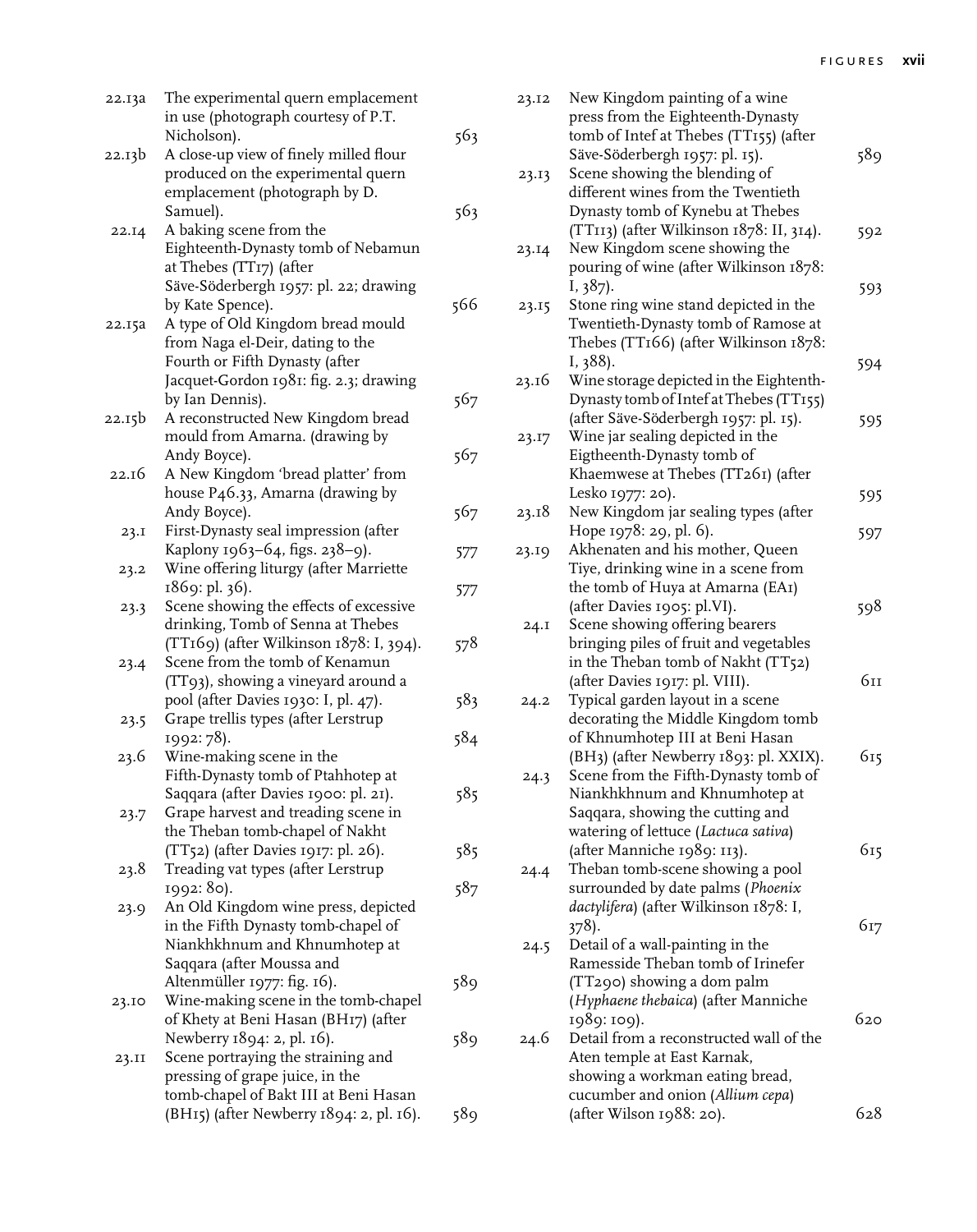| 22.13a | The experimental quern emplacement<br>in use (photograph courtesy of P.T.       |     |
|--------|---------------------------------------------------------------------------------|-----|
| 22.13b | Nicholson).<br>A close-up view of finely milled flour                           | 563 |
|        | produced on the experimental quern<br>emplacement (photograph by D.<br>Samuel). | 563 |
| 22.14  | A baking scene from the                                                         |     |
|        | Eighteenth-Dynasty tomb of Nebamun                                              |     |
|        | at Thebes (TT17) (after                                                         |     |
|        | Säve-Söderbergh 1957: pl. 22; drawing                                           |     |
|        | by Kate Spence).                                                                | 566 |
| 22.15a | A type of Old Kingdom bread mould<br>from Naga el-Deir, dating to the           |     |
|        | Fourth or Fifth Dynasty (after                                                  |     |
|        | Jacquet-Gordon 1981: fig. 2.3; drawing                                          |     |
|        | by Ian Dennis).                                                                 | 567 |
| 22.15b | A reconstructed New Kingdom bread                                               |     |
|        | mould from Amarna. (drawing by                                                  |     |
|        | Andy Boyce).                                                                    | 567 |
| 22.16  | A New Kingdom 'bread platter' from                                              |     |
|        | house P46.33, Amarna (drawing by                                                |     |
|        | Andy Boyce).                                                                    | 567 |
| 23.1   | First-Dynasty seal impression (after                                            |     |
|        | Kaplony 1963–64, figs. 238–9).                                                  | 577 |
| 23.2   | Wine offering liturgy (after Marriette<br>1869: pl. 36).                        |     |
| 23.3   | Scene showing the effects of excessive                                          | 577 |
|        | drinking, Tomb of Senna at Thebes                                               |     |
|        | (TT169) (after Wilkinson 1878: I, 394).                                         | 578 |
| 23.4   | Scene from the tomb of Kenamun                                                  |     |
|        | (TT93), showing a vineyard around a                                             |     |
|        | pool (after Davies 1930: I, pl. 47).                                            | 583 |
| 23.5   | Grape trellis types (after Lerstrup                                             |     |
|        | 1992: 78).                                                                      | 584 |
| 23.6   | Wine-making scene in the                                                        |     |
|        | Fifth-Dynasty tomb of Ptahhotep at<br>Saqqara (after Davies 1900: pl. 21).      | 585 |
| 23.7   | Grape harvest and treading scene in                                             |     |
|        | the Theban tomb-chapel of Nakht                                                 |     |
|        | (TT52) (after Davies 1917: pl. 26).                                             | 585 |
| 23.8   | Treading vat types (after Lerstrup                                              |     |
|        | 1992: 80).                                                                      | 587 |
| 23.9   | An Old Kingdom wine press, depicted                                             |     |
|        | in the Fifth Dynasty tomb-chapel of                                             |     |
|        | Niankhkhnum and Khnumhotep at                                                   |     |
|        | Saqqara (after Moussa and                                                       |     |
|        | Altenmüller 1977: fig. 16).                                                     | 589 |
| 23.10  | Wine-making scene in the tomb-chapel<br>of Khety at Beni Hasan (BH17) (after    |     |
|        | Newberry 1894: 2, pl. 16).                                                      | 589 |
| 23.II  | Scene portraying the straining and                                              |     |
|        | pressing of grape juice, in the                                                 |     |
|        | tomb-chapel of Bakt III at Beni Hasan                                           |     |
|        | (BH15) (after Newberry 1894: 2, pl. 16).                                        | 589 |

| 23.12 | New Kingdom painting of a wine           |     |
|-------|------------------------------------------|-----|
|       | press from the Eighteenth-Dynasty        |     |
|       | tomb of Intef at Thebes (TT155) (after   |     |
|       | Säve-Söderbergh 1957: pl. 15).           | 589 |
|       | Scene showing the blending of            |     |
| 23.13 |                                          |     |
|       | different wines from the Twentieth       |     |
|       | Dynasty tomb of Kynebu at Thebes         |     |
|       | (TTII3) (after Wilkinson 1878: II, 314). | 592 |
| 23.14 | New Kingdom scene showing the            |     |
|       | pouring of wine (after Wilkinson 1878:   |     |
|       | $I, 387$ .                               | 593 |
| 23.15 | Stone ring wine stand depicted in the    |     |
|       | Twentieth-Dynasty tomb of Ramose at      |     |
|       | Thebes (TT166) (after Wilkinson 1878:    |     |
|       |                                          |     |
|       | I, 388).                                 | 594 |
| 23.16 | Wine storage depicted in the Eightenth-  |     |
|       | Dynasty tomb of Intef at Thebes (TT155)  |     |
|       | (after Säve-Söderbergh 1957: pl. 15).    | 595 |
| 23.17 | Wine jar sealing depicted in the         |     |
|       | Eigtheenth-Dynasty tomb of               |     |
|       | Khaemwese at Thebes (TT261) (after       |     |
|       | Lesko 1977: 20).                         | 595 |
| 23.18 | New Kingdom jar sealing types (after     |     |
|       | Hope 1978: 29, pl. 6).                   | 597 |
| 23.19 | Akhenaten and his mother, Queen          |     |
|       | Tiye, drinking wine in a scene from      |     |
|       | the tomb of Huya at Amarna (EAI)         |     |
|       |                                          |     |
|       | (after Davies 1905: pl.VI).              | 598 |
| 24.1  | Scene showing offering bearers           |     |
|       | bringing piles of fruit and vegetables   |     |
|       | in the Theban tomb of Nakht (TT52)       |     |
|       | (after Davies 1917: pl. VIII).           | 611 |
| 24.2  | Typical garden layout in a scene         |     |
|       | decorating the Middle Kingdom tomb       |     |
|       | of Khnumhotep III at Beni Hasan          |     |
|       | (BH3) (after Newberry 1893: pl. XXIX).   | 615 |
| 24.3  | Scene from the Fifth-Dynasty tomb of     |     |
|       | Niankhkhnum and Khnumhotep at            |     |
|       |                                          |     |
|       | Saqqara, showing the cutting and         |     |
|       | watering of lettuce (Lactuca sativa)     |     |
|       | (after Manniche 1989: 113).              | 615 |
| 24.4  | Theban tomb-scene showing a pool         |     |
|       | surrounded by date palms (Phoenix        |     |
|       | dactylifera) (after Wilkinson 1878: I,   |     |
|       | 378).                                    | 617 |
| 24.5  | Detail of a wall-painting in the         |     |
|       | Ramesside Theban tomb of Irinefer        |     |
|       | (TT290) showing a dom palm               |     |
|       | (Hyphaene thebaica) (after Manniche      |     |
|       |                                          |     |
|       | 1989: 109).                              | 620 |
| 24.6  | Detail from a reconstructed wall of the  |     |
|       | Aten temple at East Karnak,              |     |
|       | showing a workman eating bread,          |     |
|       | cucumber and onion (Allium cepa)         |     |
|       | (after Wilson 1988: 20).                 | 628 |
|       |                                          |     |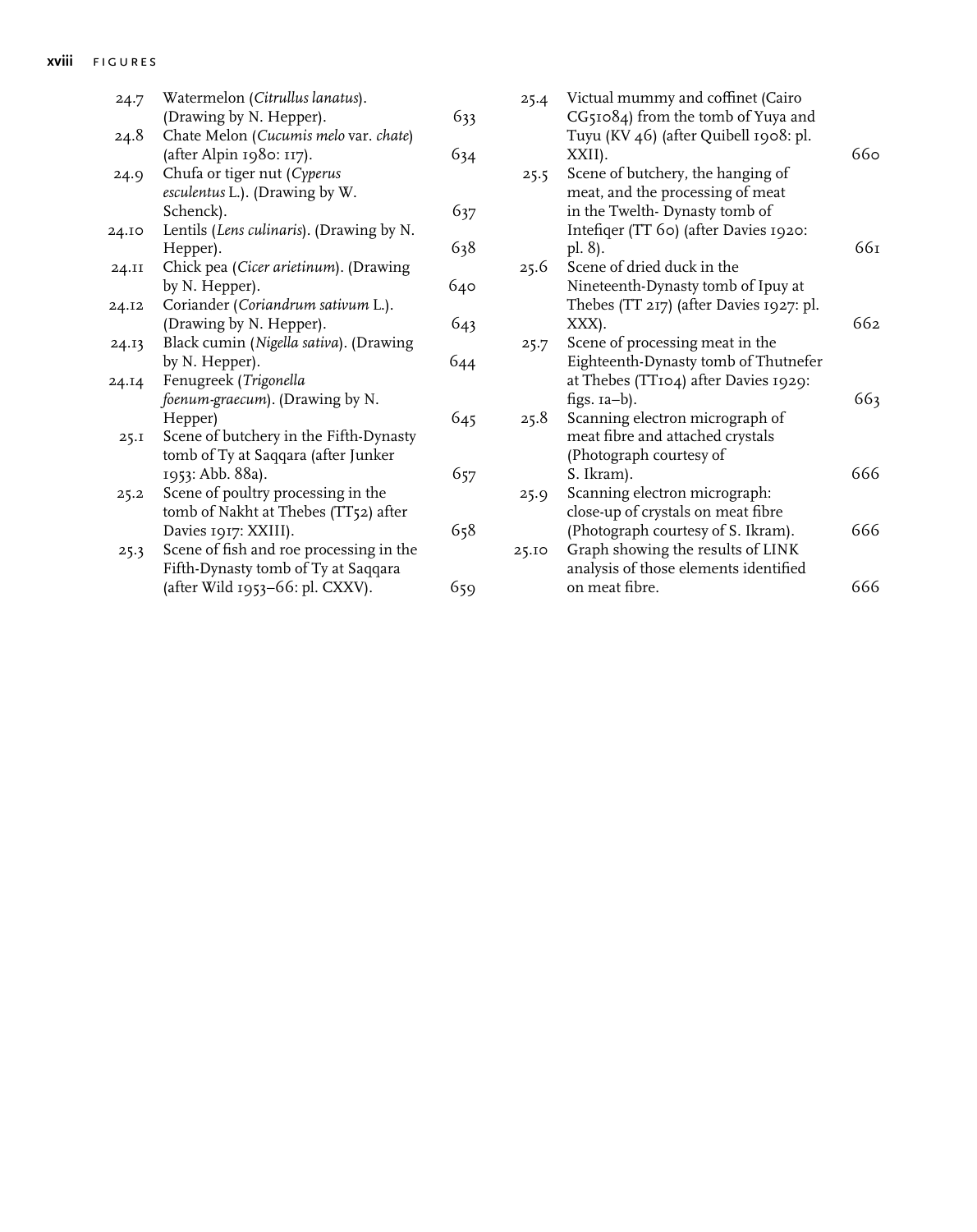| 24.7  | Watermelon (Citrullus lanatus).          |     |
|-------|------------------------------------------|-----|
|       | (Drawing by N. Hepper).                  | 633 |
| 24.8  | Chate Melon (Cucumis melo var. chate)    |     |
|       | (after Alpin 1980: 117).                 | 634 |
| 24.9  | Chufa or tiger nut (Cyperus              |     |
|       | esculentus L.). (Drawing by W.           |     |
|       | Schenck).                                | 637 |
| 24.10 | Lentils (Lens culinaris). (Drawing by N. |     |
|       | Hepper).                                 | 638 |
| 24.11 | Chick pea (Cicer arietinum). (Drawing    |     |
|       | by N. Hepper).                           | 640 |
| 24.12 | Coriander (Coriandrum sativum L.).       |     |
|       | (Drawing by N. Hepper).                  | 643 |
| 24.13 | Black cumin (Nigella sativa). (Drawing   |     |
|       | by N. Hepper).                           | 644 |
| 24.14 | Fenugreek (Trigonella                    |     |
|       | foenum-graecum). (Drawing by N.          |     |
|       | Hepper)                                  | 645 |
| 25.1  | Scene of butchery in the Fifth-Dynasty   |     |
|       | tomb of Ty at Saqqara (after Junker      |     |
|       | 1953: Abb. 88a).                         | 657 |
| 25.2  | Scene of poultry processing in the       |     |
|       | tomb of Nakht at Thebes (TT52) after     |     |
|       | Davies 1917: XXIII).                     | 658 |
| 25.3  | Scene of fish and roe processing in the  |     |
|       | Fifth-Dynasty tomb of Ty at Saqqara      |     |
|       | (after Wild 1953-66: pl. CXXV).          | 659 |
|       |                                          |     |

| 25.4  | Victual mummy and coffinet (Cairo       |     |
|-------|-----------------------------------------|-----|
|       | CG51084) from the tomb of Yuya and      |     |
|       | Tuyu (KV 46) (after Quibell 1908: pl.   |     |
|       | XXII).                                  | 660 |
| 25.5  | Scene of butchery, the hanging of       |     |
|       | meat, and the processing of meat        |     |
|       | in the Twelth-Dynasty tomb of           |     |
|       | Intefiqer (TT 60) (after Davies 1920:   |     |
|       | pl. 8).                                 | 66т |
| 25.6  | Scene of dried duck in the              |     |
|       | Nineteenth-Dynasty tomb of Ipuy at      |     |
|       | Thebes (TT 217) (after Davies 1927: pl. |     |
|       | XXX).                                   | 662 |
| 25.7  | Scene of processing meat in the         |     |
|       | Eighteenth-Dynasty tomb of Thutnefer    |     |
|       | at Thebes (TT104) after Davies 1929:    |     |
|       | figs. $(a-b)$ .                         | 663 |
| 25.8  | Scanning electron micrograph of         |     |
|       | meat fibre and attached crystals        |     |
|       | (Photograph courtesy of                 |     |
|       | S. Ikram).                              | 666 |
| 25.9  | Scanning electron micrograph:           |     |
|       | close-up of crystals on meat fibre      |     |
|       | (Photograph courtesy of S. Ikram).      | 666 |
| 25.10 | Graph showing the results of LINK       |     |
|       | analysis of those elements identified   |     |
|       | on meat fibre.                          | 666 |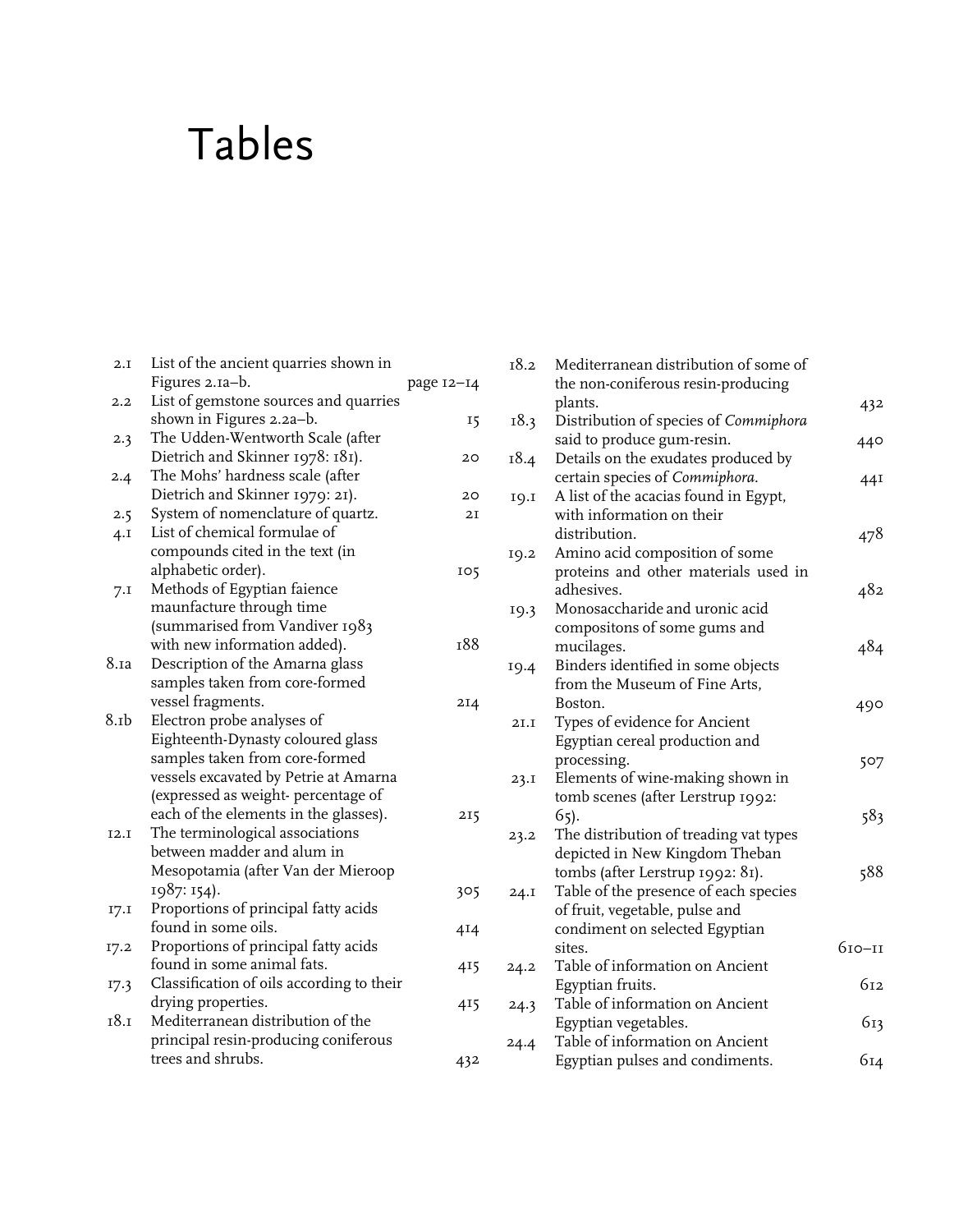## Tables

| 2.I  | List of the ancient quarries shown in<br>Figures 2.1a-b. | page 12-14 |
|------|----------------------------------------------------------|------------|
| 2.2  | List of gemstone sources and quarries                    |            |
|      | shown in Figures 2.2a-b.                                 | 15         |
| 2.3  | The Udden-Wentworth Scale (after                         |            |
|      | Dietrich and Skinner 1978: 181).                         | 20         |
| 2.4  | The Mohs' hardness scale (after                          |            |
|      | Dietrich and Skinner 1979: 21).                          | 20         |
| 2.5  | System of nomenclature of quartz.                        | 2I         |
| 4.1  | List of chemical formulae of                             |            |
|      | compounds cited in the text (in                          |            |
|      | alphabetic order).                                       | 105        |
| 7.1  | Methods of Egyptian faience                              |            |
|      | maunfacture through time                                 |            |
|      | (summarised from Vandiver 1983                           |            |
|      | with new information added).                             | 188        |
| 8.1а | Description of the Amarna glass                          |            |
|      | samples taken from core-formed                           |            |
|      | vessel fragments.                                        | 214        |
| 8.1b | Electron probe analyses of                               |            |
|      | Eighteenth-Dynasty coloured glass                        |            |
|      | samples taken from core-formed                           |            |
|      | vessels excavated by Petrie at Amarna                    |            |
|      | (expressed as weight-percentage of                       |            |
|      | each of the elements in the glasses).                    | 215        |
| I2.I | The terminological associations                          |            |
|      | between madder and alum in                               |            |
|      | Mesopotamia (after Van der Mieroop                       |            |
|      | 1987: 154).                                              | 305        |
| 17.1 | Proportions of principal fatty acids                     |            |
|      | found in some oils.                                      | 4I4        |
| 17.2 | Proportions of principal fatty acids                     |            |
|      | found in some animal fats.                               | 415        |
| 17.3 | Classification of oils according to their                |            |
|      | drying properties.                                       | 415        |
| 18.1 | Mediterranean distribution of the                        |            |
|      | principal resin-producing coniferous                     |            |
|      | trees and shrubs.                                        | 432        |

| 432<br>440<br>44I<br>478<br>482 |
|---------------------------------|
|                                 |
|                                 |
|                                 |
|                                 |
|                                 |
|                                 |
|                                 |
|                                 |
|                                 |
|                                 |
|                                 |
|                                 |
|                                 |
|                                 |
| 484                             |
|                                 |
|                                 |
| 490                             |
|                                 |
|                                 |
| 507                             |
|                                 |
|                                 |
| 583                             |
|                                 |
|                                 |
| 588                             |
|                                 |
|                                 |
|                                 |
| 610-11                          |
|                                 |
| 612                             |
|                                 |
| 613                             |
|                                 |
| 614                             |
|                                 |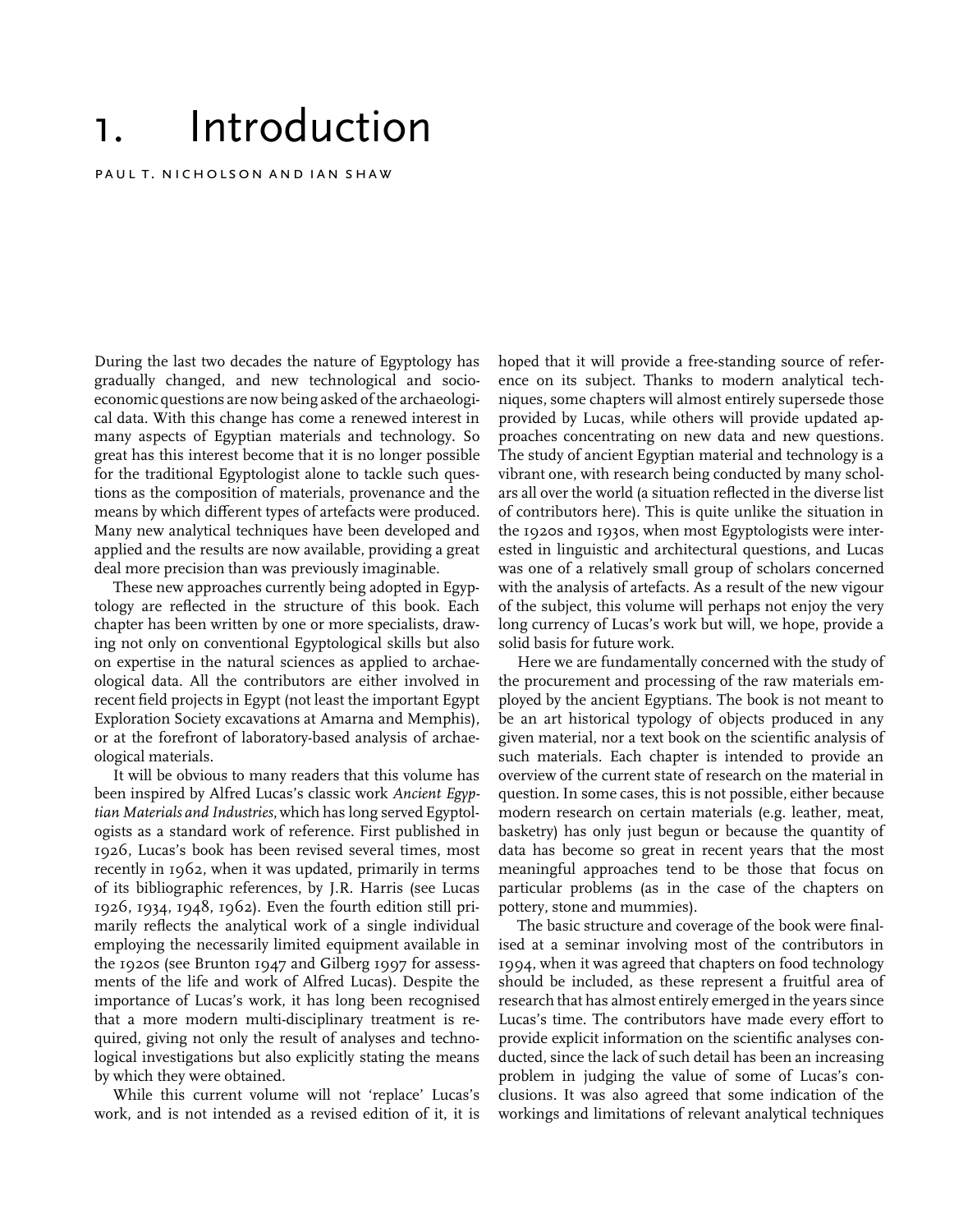## 1. Introduction

PAUL T. NICHOLSON AND IAN SHAW

During the last two decades the nature of Egyptology has gradually changed, and new technological and socioeconomic questions are now being asked of the archaeological data. With this change has come a renewed interest in many aspects of Egyptian materials and technology. So great has this interest become that it is no longer possible for the traditional Egyptologist alone to tackle such questions as the composition of materials, provenance and the means by which different types of artefacts were produced. Many new analytical techniques have been developed and applied and the results are now available, providing a great deal more precision than was previously imaginable.

These new approaches currently being adopted in Egyptology are reflected in the structure of this book. Each chapter has been written by one or more specialists, drawing not only on conventional Egyptological skills but also on expertise in the natural sciences as applied to archaeological data. All the contributors are either involved in recent field projects in Egypt (not least the important Egypt Exploration Society excavations at Amarna and Memphis), or at the forefront of laboratory-based analysis of archaeological materials.

It will be obvious to many readers that this volume has been inspired by Alfred Lucas's classic work *Ancient Egyptian Materials and Industries*, which has long served Egyptologists as a standard work of reference. First published in 1926, Lucas's book has been revised several times, most recently in 1962, when it was updated, primarily in terms of its bibliographic references, by J.R. Harris (see Lucas 1926, 1934, 1948, 1962). Even the fourth edition still primarily reflects the analytical work of a single individual employing the necessarily limited equipment available in the 1920s (see Brunton 1947 and Gilberg 1997 for assessments of the life and work of Alfred Lucas). Despite the importance of Lucas's work, it has long been recognised that a more modern multi-disciplinary treatment is required, giving not only the result of analyses and technological investigations but also explicitly stating the means by which they were obtained.

While this current volume will not 'replace' Lucas's work, and is not intended as a revised edition of it, it is

hoped that it will provide a free-standing source of reference on its subject. Thanks to modern analytical techniques, some chapters will almost entirely supersede those provided by Lucas, while others will provide updated approaches concentrating on new data and new questions. The study of ancient Egyptian material and technology is a vibrant one, with research being conducted by many scholars all over the world (a situation reflected in the diverse list of contributors here). This is quite unlike the situation in the 1920s and 1930s, when most Egyptologists were interested in linguistic and architectural questions, and Lucas was one of a relatively small group of scholars concerned with the analysis of artefacts. As a result of the new vigour of the subject, this volume will perhaps not enjoy the very long currency of Lucas's work but will, we hope, provide a solid basis for future work.

Here we are fundamentally concerned with the study of the procurement and processing of the raw materials employed by the ancient Egyptians. The book is not meant to be an art historical typology of objects produced in any given material, nor a text book on the scientific analysis of such materials. Each chapter is intended to provide an overview of the current state of research on the material in question. In some cases, this is not possible, either because modern research on certain materials (e.g. leather, meat, basketry) has only just begun or because the quantity of data has become so great in recent years that the most meaningful approaches tend to be those that focus on particular problems (as in the case of the chapters on pottery, stone and mummies).

The basic structure and coverage of the book were finalised at a seminar involving most of the contributors in 1994, when it was agreed that chapters on food technology should be included, as these represent a fruitful area of research that has almost entirely emerged in the years since Lucas's time. The contributors have made every effort to provide explicit information on the scientific analyses conducted, since the lack of such detail has been an increasing problem in judging the value of some of Lucas's conclusions. It was also agreed that some indication of the workings and limitations of relevant analytical techniques